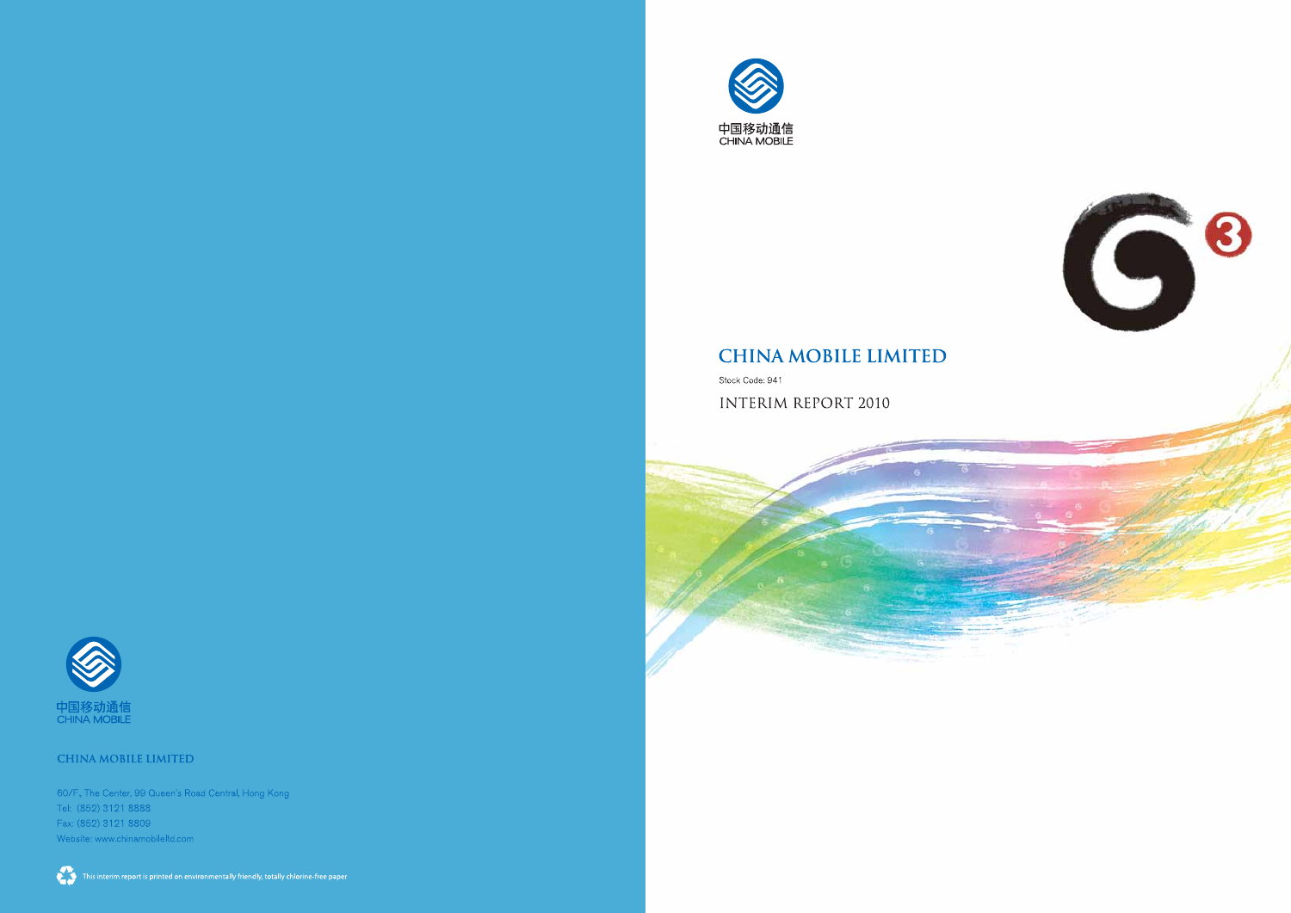



## **CHINA MOBILE LIMITED**

Stock Code: 941

**INTERIM REPORT 2010**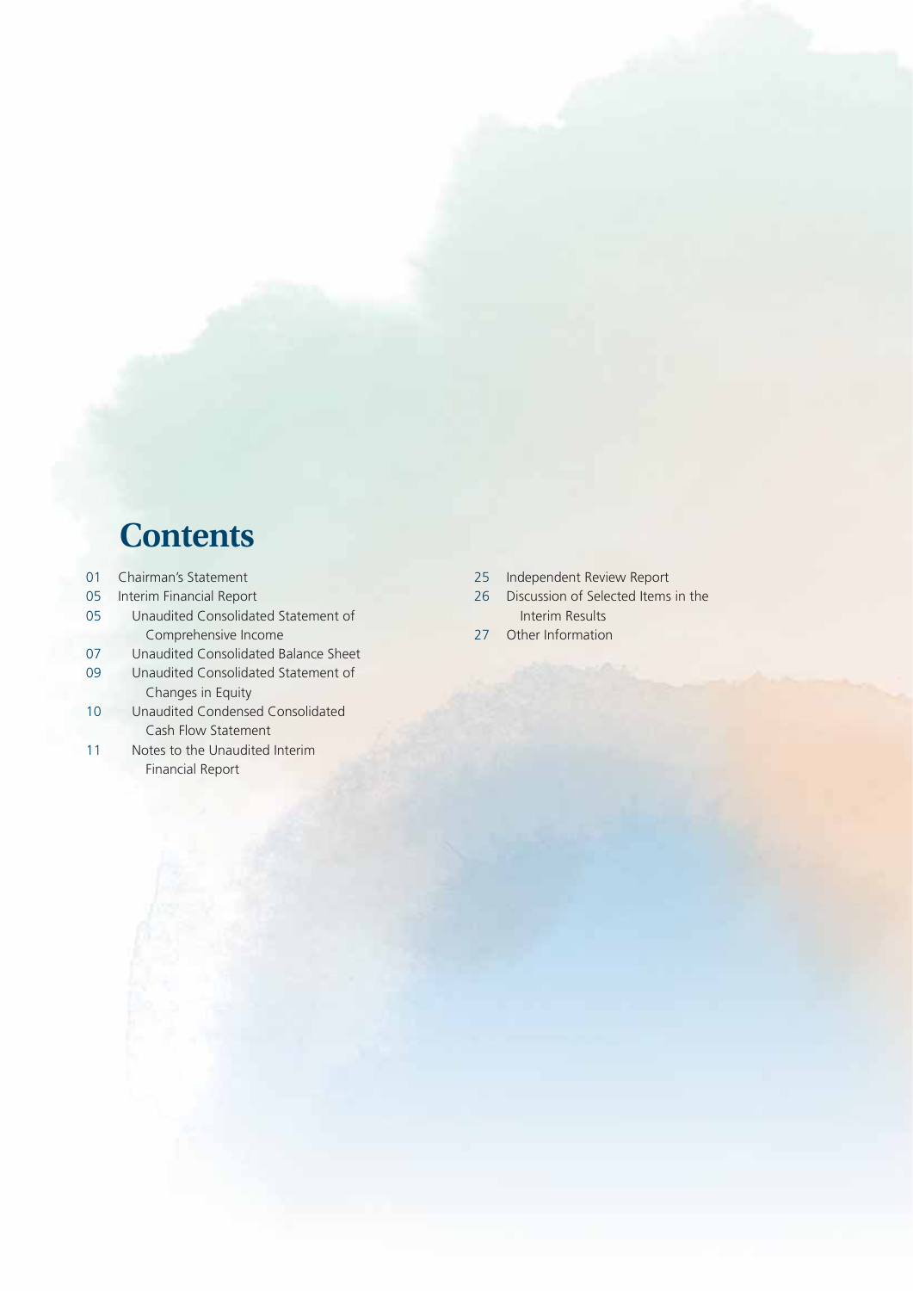# **Contents**

- 01 Chairman's Statement
- 05 Interim Financial Report
- 05 Unaudited Consolidated Statement of Comprehensive Income
- 07 Unaudited Consolidated Balance Sheet
- 09 Unaudited Consolidated Statement of Changes in Equity
- 10 Unaudited Condensed Consolidated Cash Flow Statement
- 11 Notes to the Unaudited Interim Financial Report
- 25 Independent Review Report
- 26 Discussion of Selected Items in the Interim Results
- 27 Other Information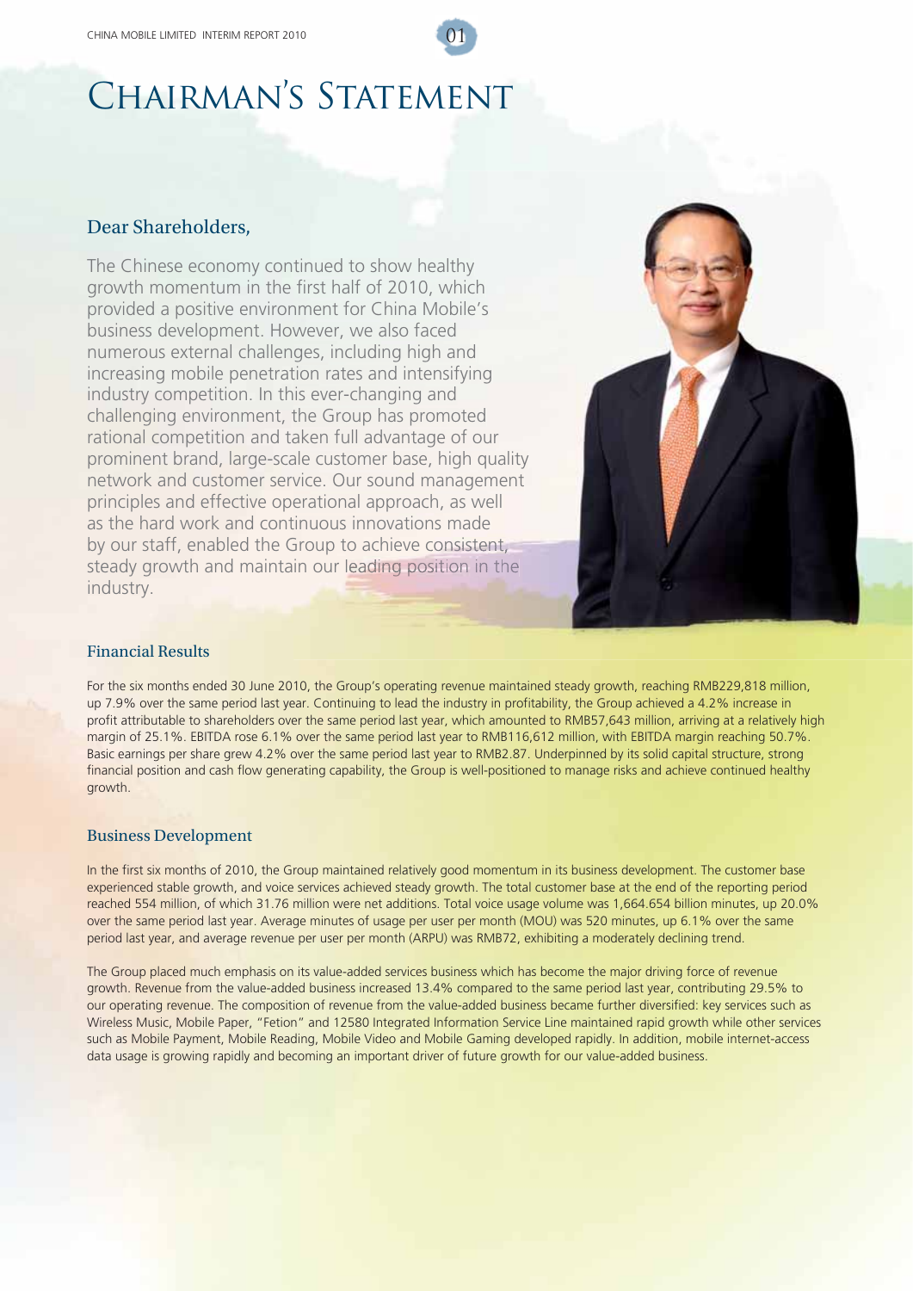# CHAIRMAN'S STATEMENT

### Dear Shareholders,

The Chinese economy continued to show healthy growth momentum in the first half of 2010, which provided a positive environment for China Mobile's business development. However, we also faced provided a positive environment for China Mobile'<br>business development. However, we also faced<br>numerous external challenges, including high and increasing mobile penetration rates and intensifying industry competition. In this ever-changing and challenging environment, the Group has promoted industry competition. In this ever-changing and<br>challenging environment, the Group has promoted<br>rational competition and taken full advantage of our prominent brand, large-scale customer base, high quality<br>network and customer service. Our sound management network and customer service. Our sound management principles and effective operational approach, as well principles and effective operational approach, as we<br>as the hard work and continuous innovations made by our staff, enabled the Group to achieve consistent, steady growth and maintain our leading position in the industry.



#### Financial Results

For the six months ended 30 June 2010, the Group's operating revenue maintained steady growth, reaching RMB229,818 million, up 7.9% over the same period last year. Continuing to lead the industry in profitability, the Group achieved a 4.2% increase in profit attributable to shareholders over the same period last year, which amounted to RMB57,643 million, arriving at a relatively high margin of 25.1%. EBITDA rose 6.1% over the same period last year to RMB116,612 million, with EBITDA margin reaching 50.7%. Basic earnings per share grew 4.2% over the same period last year to RMB2.87. Underpinned by its solid capital structure, strong financial position and cash flow generating capability, the Group is well-positioned to manage risks and achieve continued healthy growth.

#### Business Development

In the first six months of 2010, the Group maintained relatively good momentum in its business development. The customer base experienced stable growth, and voice services achieved steady growth. The total customer base at the end of the reporting period reached 554 million, of which 31.76 million were net additions. Total voice usage volume was 1,664.654 billion minutes, up 20.0% over the same period last year. Average minutes of usage per user per month (MOU) was 520 minutes, up 6.1% over the same period last year, and average revenue per user per month (ARPU) was RMB72, exhibiting a moderately declining trend.

The Group placed much emphasis on its value-added services business which has become the major driving force of revenue growth. Revenue from the value-added business increased 13.4% compared to the same period last year, contributing 29.5% to our operating revenue. The composition of revenue from the value-added business became further diversified: key services such as Wireless Music, Mobile Paper, "Fetion" and 12580 Integrated Information Service Line maintained rapid growth while other services such as Mobile Payment, Mobile Reading, Mobile Video and Mobile Gaming developed rapidly. In addition, mobile internet-access data usage is growing rapidly and becoming an important driver of future growth for our value-added business.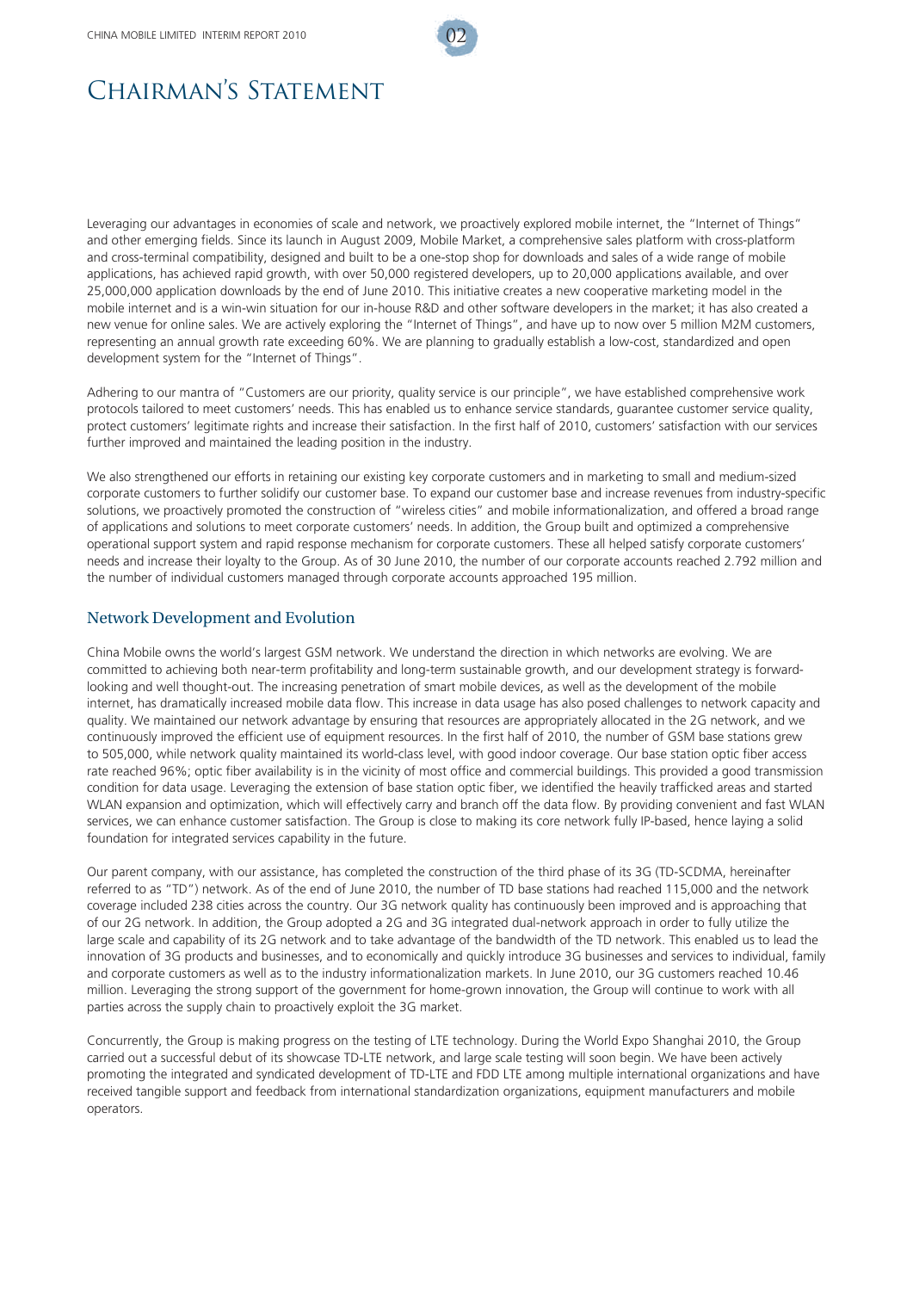

## CHAIRMAN'S STATEMENT

Leveraging our advantages in economies of scale and network, we proactively explored mobile internet, the "Internet of Things" and other emerging fields. Since its launch in August 2009, Mobile Market, a comprehensive sales platform with cross-platform and cross-terminal compatibility, designed and built to be a one-stop shop for downloads and sales of a wide range of mobile applications, has achieved rapid growth, with over 50,000 registered developers, up to 20,000 applications available, and over 25,000,000 application downloads by the end of June 2010. This initiative creates a new cooperative marketing model in the mobile internet and is a win-win situation for our in-house R&D and other software developers in the market; it has also created a new venue for online sales. We are actively exploring the "Internet of Things", and have up to now over 5 million M2M customers, representing an annual growth rate exceeding 60%. We are planning to gradually establish a low-cost, standardized and open development system for the "Internet of Things".

Adhering to our mantra of "Customers are our priority, quality service is our principle", we have established comprehensive work protocols tailored to meet customers' needs. This has enabled us to enhance service standards, guarantee customer service quality, protect customers' legitimate rights and increase their satisfaction. In the first half of 2010, customers' satisfaction with our services further improved and maintained the leading position in the industry.

We also strengthened our efforts in retaining our existing key corporate customers and in marketing to small and medium-sized corporate customers to further solidify our customer base. To expand our customer base and increase revenues from industry-specific solutions, we proactively promoted the construction of "wireless cities" and mobile informationalization, and offered a broad range of applications and solutions to meet corporate customers' needs. In addition, the Group built and optimized a comprehensive operational support system and rapid response mechanism for corporate customers. These all helped satisfy corporate customers' needs and increase their loyalty to the Group. As of 30 June 2010, the number of our corporate accounts reached 2.792 million and the number of individual customers managed through corporate accounts approached 195 million.

#### Network Development and Evolution

China Mobile owns the world's largest GSM network. We understand the direction in which networks are evolving. We are committed to achieving both near-term profitability and long-term sustainable growth, and our development strategy is forwardlooking and well thought-out. The increasing penetration of smart mobile devices, as well as the development of the mobile internet, has dramatically increased mobile data flow. This increase in data usage has also posed challenges to network capacity and quality. We maintained our network advantage by ensuring that resources are appropriately allocated in the 2G network, and we continuously improved the efficient use of equipment resources. In the first half of 2010, the number of GSM base stations grew to 505,000, while network quality maintained its world-class level, with good indoor coverage. Our base station optic fiber access rate reached 96%; optic fiber availability is in the vicinity of most office and commercial buildings. This provided a good transmission condition for data usage. Leveraging the extension of base station optic fiber, we identified the heavily trafficked areas and started WLAN expansion and optimization, which will effectively carry and branch off the data flow. By providing convenient and fast WLAN services, we can enhance customer satisfaction. The Group is close to making its core network fully IP-based, hence laying a solid foundation for integrated services capability in the future.

Our parent company, with our assistance, has completed the construction of the third phase of its 3G (TD-SCDMA, hereinafter referred to as "TD") network. As of the end of June 2010, the number of TD base stations had reached 115,000 and the network coverage included 238 cities across the country. Our 3G network quality has continuously been improved and is approaching that of our 2G network. In addition, the Group adopted a 2G and 3G integrated dual-network approach in order to fully utilize the large scale and capability of its 2G network and to take advantage of the bandwidth of the TD network. This enabled us to lead the innovation of 3G products and businesses, and to economically and quickly introduce 3G businesses and services to individual, family and corporate customers as well as to the industry informationalization markets. In June 2010, our 3G customers reached 10.46 million. Leveraging the strong support of the government for home-grown innovation, the Group will continue to work with all parties across the supply chain to proactively exploit the 3G market.

Concurrently, the Group is making progress on the testing of LTE technology. During the World Expo Shanghai 2010, the Group carried out a successful debut of its showcase TD-LTE network, and large scale testing will soon begin. We have been actively promoting the integrated and syndicated development of TD-LTE and FDD LTE among multiple international organizations and have received tangible support and feedback from international standardization organizations, equipment manufacturers and mobile operators.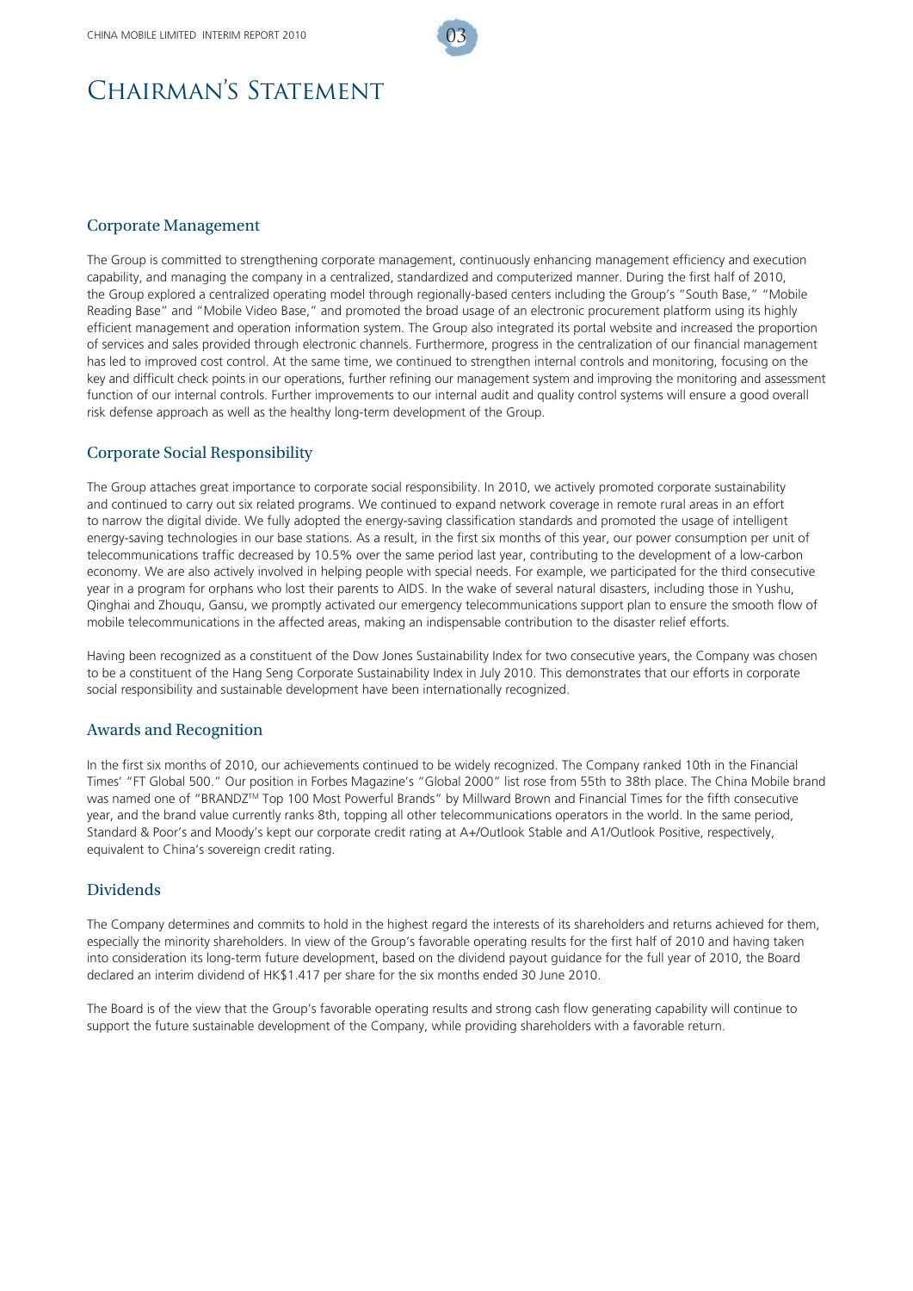## CHAIRMAN'S STATEMENT

#### Corporate Management

The Group is committed to strengthening corporate management, continuously enhancing management efficiency and execution capability, and managing the company in a centralized, standardized and computerized manner. During the first half of 2010, the Group explored a centralized operating model through regionally-based centers including the Group's "South Base," "Mobile Reading Base" and "Mobile Video Base," and promoted the broad usage of an electronic procurement platform using its highly efficient management and operation information system. The Group also integrated its portal website and increased the proportion of services and sales provided through electronic channels. Furthermore, progress in the centralization of our financial management has led to improved cost control. At the same time, we continued to strengthen internal controls and monitoring, focusing on the key and difficult check points in our operations, further refining our management system and improving the monitoring and assessment function of our internal controls. Further improvements to our internal audit and quality control systems will ensure a good overall risk defense approach as well as the healthy long-term development of the Group.

#### Corporate Social Responsibility

The Group attaches great importance to corporate social responsibility. In 2010, we actively promoted corporate sustainability and continued to carry out six related programs. We continued to expand network coverage in remote rural areas in an effort to narrow the digital divide. We fully adopted the energy-saving classification standards and promoted the usage of intelligent energy-saving technologies in our base stations. As a result, in the first six months of this year, our power consumption per unit of telecommunications traffic decreased by 10.5% over the same period last year, contributing to the development of a low-carbon economy. We are also actively involved in helping people with special needs. For example, we participated for the third consecutive year in a program for orphans who lost their parents to AIDS. In the wake of several natural disasters, including those in Yushu, Qinghai and Zhouqu, Gansu, we promptly activated our emergency telecommunications support plan to ensure the smooth flow of mobile telecommunications in the affected areas, making an indispensable contribution to the disaster relief efforts.

Having been recognized as a constituent of the Dow Jones Sustainability Index for two consecutive years, the Company was chosen to be a constituent of the Hang Seng Corporate Sustainability Index in July 2010. This demonstrates that our efforts in corporate social responsibility and sustainable development have been internationally recognized.

#### Awards and Recognition

In the first six months of 2010, our achievements continued to be widely recognized. The Company ranked 10th in the Financial Times' "FT Global 500." Our position in Forbes Magazine's "Global 2000" list rose from 55th to 38th place. The China Mobile brand was named one of "BRANDZ™ Top 100 Most Powerful Brands" by Millward Brown and Financial Times for the fifth consecutive year, and the brand value currently ranks 8th, topping all other telecommunications operators in the world. In the same period, Standard & Poor's and Moody's kept our corporate credit rating at A+/Outlook Stable and A1/Outlook Positive, respectively, equivalent to China's sovereign credit rating.

#### Dividends

The Company determines and commits to hold in the highest regard the interests of its shareholders and returns achieved for them, especially the minority shareholders. In view of the Group's favorable operating results for the first half of 2010 and having taken into consideration its long-term future development, based on the dividend payout guidance for the full year of 2010, the Board declared an interim dividend of HK\$1.417 per share for the six months ended 30 June 2010.

The Board is of the view that the Group's favorable operating results and strong cash flow generating capability will continue to support the future sustainable development of the Company, while providing shareholders with a favorable return.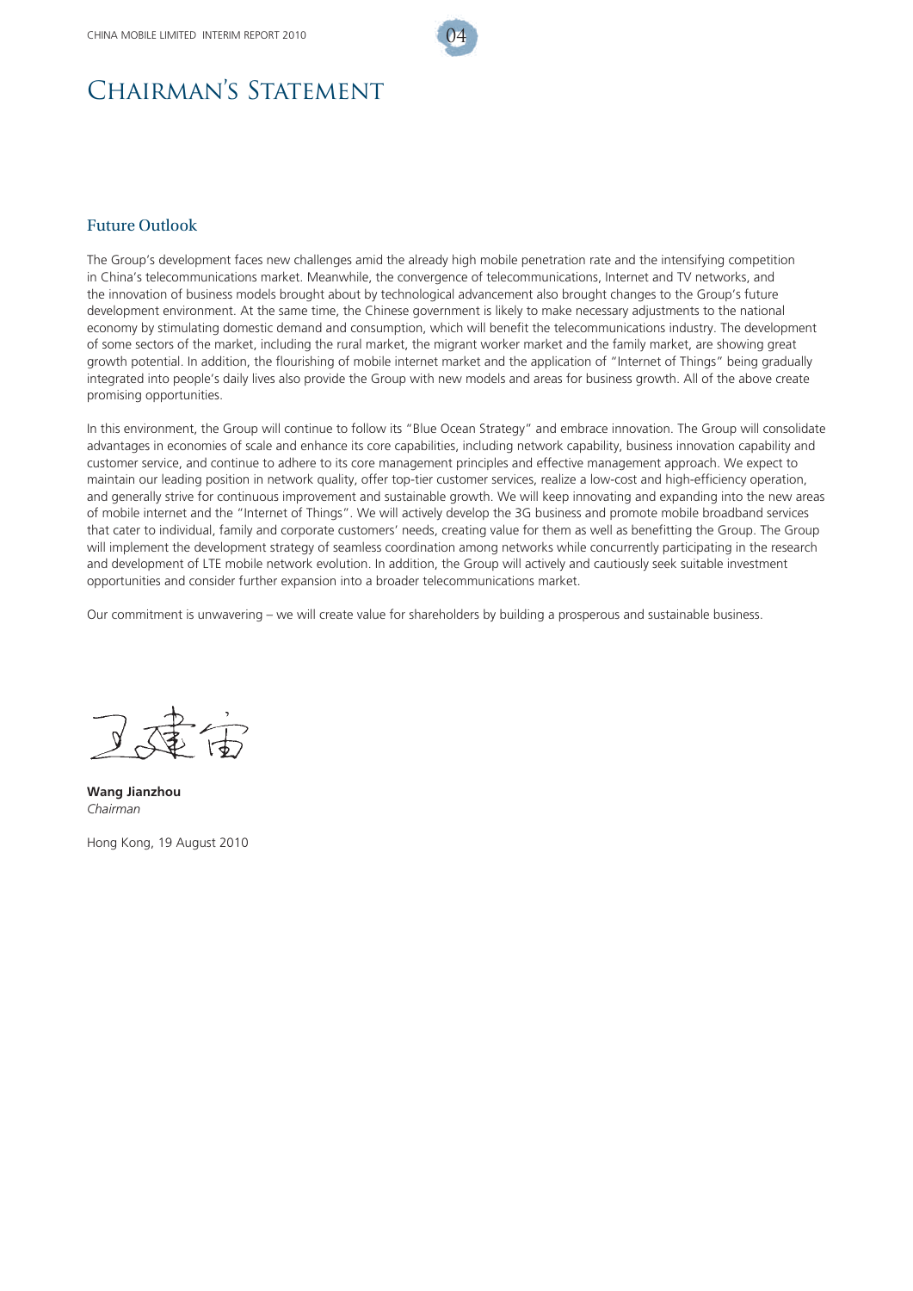

#### Future Outlook

The Group's development faces new challenges amid the already high mobile penetration rate and the intensifying competition in China's telecommunications market. Meanwhile, the convergence of telecommunications, Internet and TV networks, and the innovation of business models brought about by technological advancement also brought changes to the Group's future development environment. At the same time, the Chinese government is likely to make necessary adjustments to the national economy by stimulating domestic demand and consumption, which will benefit the telecommunications industry. The development of some sectors of the market, including the rural market, the migrant worker market and the family market, are showing great growth potential. In addition, the flourishing of mobile internet market and the application of "Internet of Things" being gradually integrated into people's daily lives also provide the Group with new models and areas for business growth. All of the above create promising opportunities.

In this environment, the Group will continue to follow its "Blue Ocean Strategy" and embrace innovation. The Group will consolidate advantages in economies of scale and enhance its core capabilities, including network capability, business innovation capability and customer service, and continue to adhere to its core management principles and effective management approach. We expect to maintain our leading position in network quality, offer top-tier customer services, realize a low-cost and high-efficiency operation, and generally strive for continuous improvement and sustainable growth. We will keep innovating and expanding into the new areas of mobile internet and the "Internet of Things". We will actively develop the 3G business and promote mobile broadband services that cater to individual, family and corporate customers' needs, creating value for them as well as benefitting the Group. The Group will implement the development strategy of seamless coordination among networks while concurrently participating in the research and development of LTE mobile network evolution. In addition, the Group will actively and cautiously seek suitable investment opportunities and consider further expansion into a broader telecommunications market.

Our commitment is unwavering – we will create value for shareholders by building a prosperous and sustainable business.

**Wang Jianzhou** *Chairman*

Hong Kong, 19 August 2010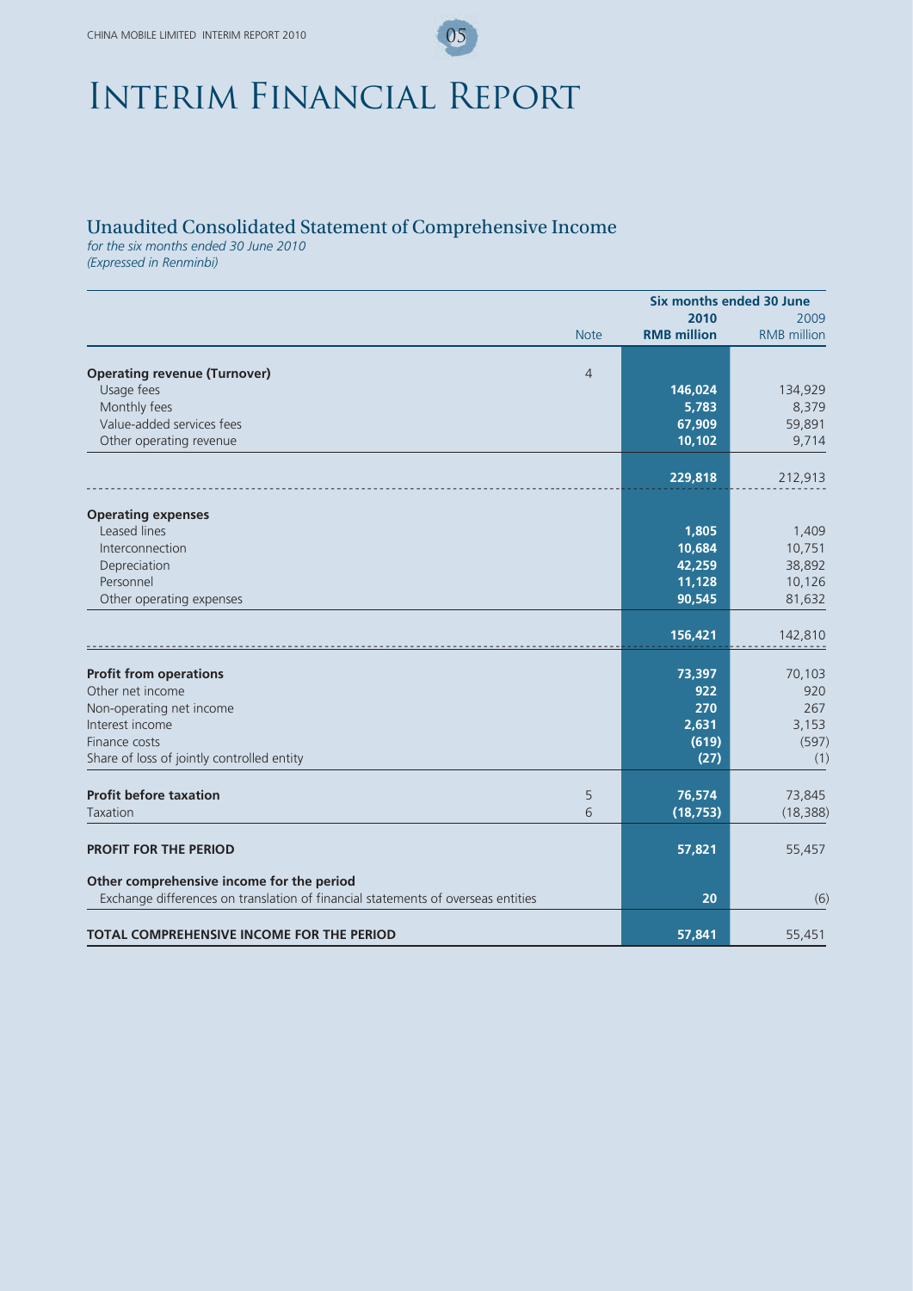# Interim Financial Report

## Unaudited Consolidated Statement of Comprehensive Income

*for the six months ended 30 June 2010*

*(Expressed in Renminbi)*

|                                                                                  |                    | Six months ended 30 June |
|----------------------------------------------------------------------------------|--------------------|--------------------------|
|                                                                                  | 2010               | 2009                     |
| <b>Note</b>                                                                      | <b>RMB</b> million | <b>RMB</b> million       |
|                                                                                  |                    |                          |
| <b>Operating revenue (Turnover)</b><br>$\overline{4}$                            |                    |                          |
| Usage fees                                                                       | 146,024            | 134,929                  |
| Monthly fees                                                                     | 5,783              | 8,379                    |
| Value-added services fees                                                        | 67,909             | 59,891                   |
| Other operating revenue                                                          | 10,102             | 9,714                    |
|                                                                                  | 229,818            | 212,913                  |
|                                                                                  |                    |                          |
| <b>Operating expenses</b>                                                        |                    |                          |
| Leased lines                                                                     | 1,805              | 1,409                    |
| Interconnection                                                                  | 10,684             | 10,751                   |
| Depreciation                                                                     | 42,259             | 38,892                   |
| Personnel                                                                        | 11,128             | 10,126                   |
| Other operating expenses                                                         | 90,545             | 81,632                   |
|                                                                                  | 156,421            | 142,810                  |
|                                                                                  |                    |                          |
| <b>Profit from operations</b>                                                    | 73,397             | 70,103                   |
| Other net income                                                                 | 922                | 920                      |
| Non-operating net income                                                         | 270                | 267                      |
| Interest income                                                                  | 2,631              | 3,153                    |
| Finance costs                                                                    | (619)              | (597)                    |
| Share of loss of jointly controlled entity                                       | (27)               | (1)                      |
|                                                                                  |                    |                          |
| <b>Profit before taxation</b><br>5                                               | 76,574             | 73,845                   |
| 6<br>Taxation                                                                    | (18, 753)          | (18, 388)                |
| <b>PROFIT FOR THE PERIOD</b>                                                     | 57,821             | 55,457                   |
| Other comprehensive income for the period                                        |                    |                          |
| Exchange differences on translation of financial statements of overseas entities | 20                 | (6)                      |
| <b>TOTAL COMPREHENSIVE INCOME FOR THE PERIOD</b>                                 | 57,841             | 55,451                   |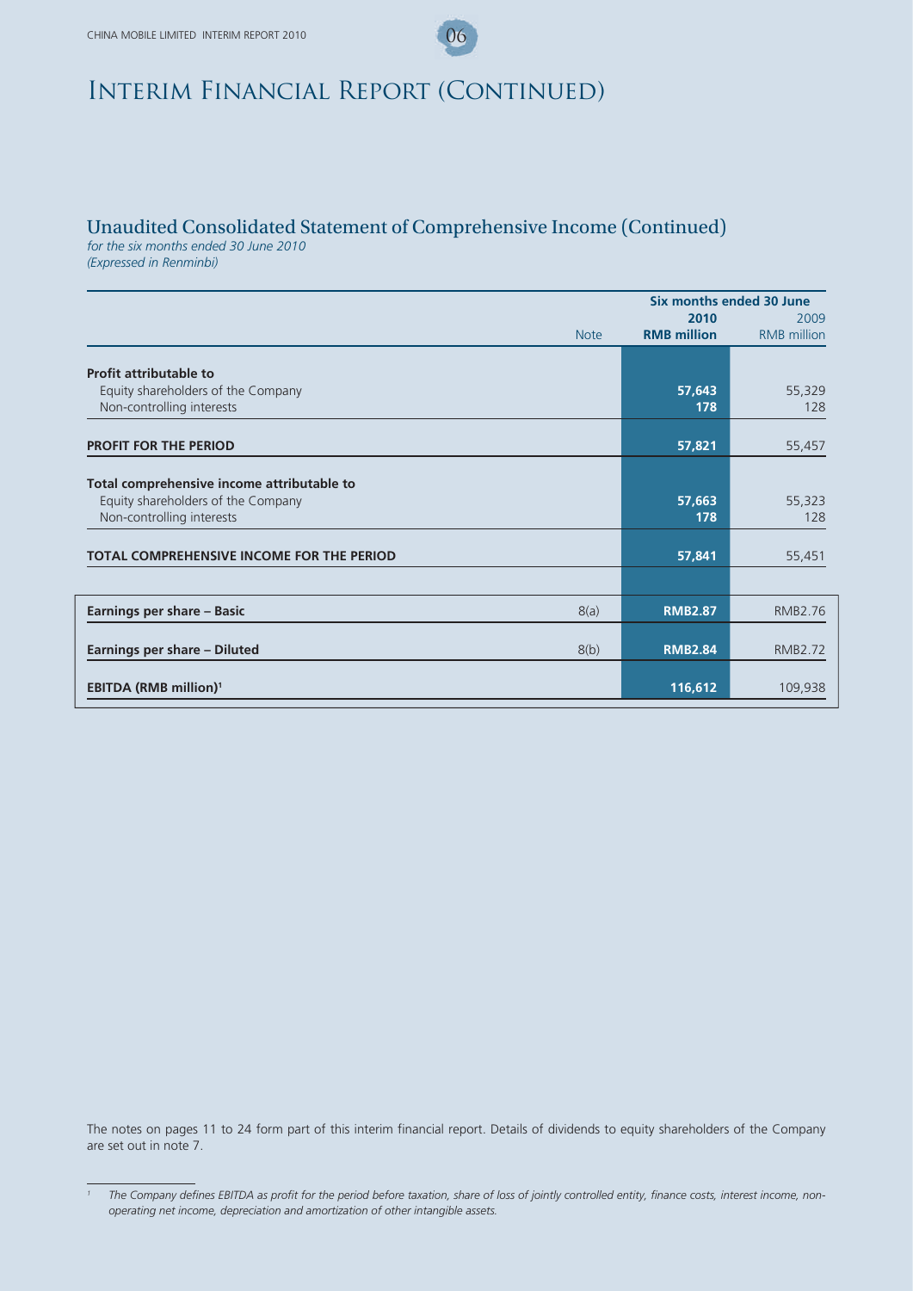## Unaudited Consolidated Statement of Comprehensive Income (Continued)

*for the six months ended 30 June 2010 (Expressed in Renminbi)*

|                                                                 |             |                            | Six months ended 30 June   |  |
|-----------------------------------------------------------------|-------------|----------------------------|----------------------------|--|
|                                                                 | <b>Note</b> | 2010<br><b>RMB</b> million | 2009<br><b>RMB</b> million |  |
| <b>Profit attributable to</b>                                   |             |                            |                            |  |
| Equity shareholders of the Company                              |             | 57,643                     | 55,329                     |  |
| Non-controlling interests                                       |             | 178                        | 128                        |  |
| <b>PROFIT FOR THE PERIOD</b>                                    |             | 57,821                     | 55,457                     |  |
|                                                                 |             |                            |                            |  |
| Total comprehensive income attributable to                      |             |                            |                            |  |
| Equity shareholders of the Company<br>Non-controlling interests |             | 57,663<br>178              | 55,323<br>128              |  |
|                                                                 |             |                            |                            |  |
| <b>TOTAL COMPREHENSIVE INCOME FOR THE PERIOD</b>                |             | 57,841                     | 55,451                     |  |
|                                                                 |             |                            |                            |  |
| Earnings per share - Basic                                      | 8(a)        | <b>RMB2.87</b>             | <b>RMB2.76</b>             |  |
| Earnings per share - Diluted                                    | 8(b)        | <b>RMB2.84</b>             | <b>RMB2.72</b>             |  |
|                                                                 |             |                            |                            |  |
| <b>EBITDA (RMB million)<sup>1</sup></b>                         |             | 116,612                    | 109,938                    |  |

The notes on pages 11 to 24 form part of this interim financial report. Details of dividends to equity shareholders of the Company are set out in note 7.

<sup>&</sup>lt;sup>1</sup> The Company defines EBITDA as profit for the period before taxation, share of loss of jointly controlled entity, finance costs, interest income, non*operating net income, depreciation and amortization of other intangible assets.*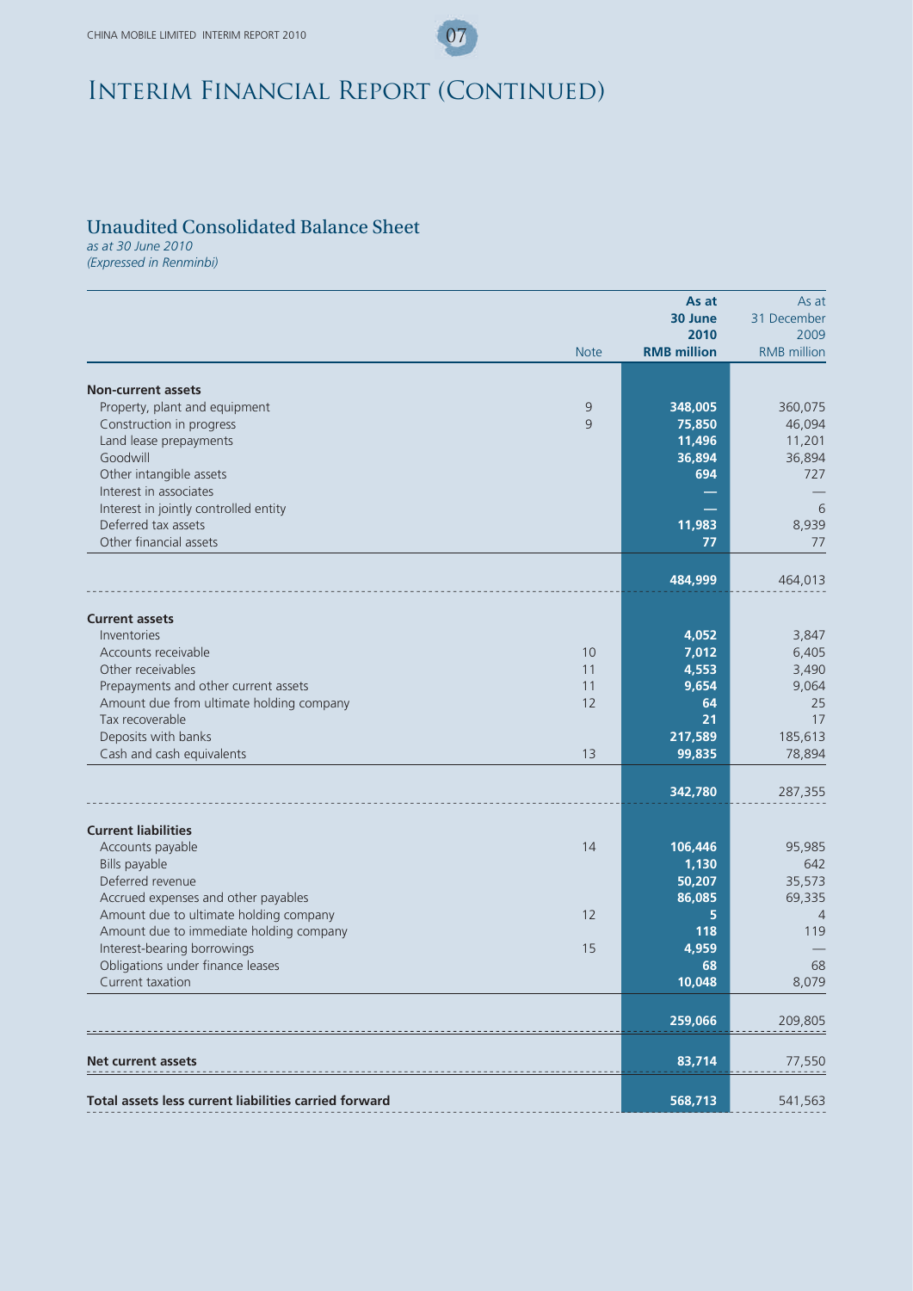## Unaudited Consolidated Balance Sheet

*as at 30 June 2010 (Expressed in Renminbi)*

|                                                                                  |             | As at              | As at              |
|----------------------------------------------------------------------------------|-------------|--------------------|--------------------|
|                                                                                  |             | 30 June            | 31 December        |
|                                                                                  |             | 2010               | 2009               |
|                                                                                  | <b>Note</b> | <b>RMB</b> million | <b>RMB</b> million |
|                                                                                  |             |                    |                    |
| <b>Non-current assets</b>                                                        |             |                    |                    |
| Property, plant and equipment                                                    | 9<br>9      | 348,005            | 360,075            |
| Construction in progress<br>Land lease prepayments                               |             | 75,850<br>11,496   | 46,094             |
| Goodwill                                                                         |             | 36,894             | 11,201<br>36,894   |
| Other intangible assets                                                          |             | 694                | 727                |
| Interest in associates                                                           |             |                    |                    |
| Interest in jointly controlled entity                                            |             | -                  | 6                  |
| Deferred tax assets                                                              |             | 11,983             | 8,939              |
| Other financial assets                                                           |             | 77                 | 77                 |
|                                                                                  |             |                    |                    |
|                                                                                  |             | 484,999            | 464,013            |
|                                                                                  |             |                    |                    |
| <b>Current assets</b>                                                            |             |                    |                    |
| Inventories<br>Accounts receivable                                               | 10          | 4,052              | 3,847              |
|                                                                                  |             | 7,012              | 6,405              |
| Other receivables                                                                | 11<br>11    | 4,553              | 3,490              |
| Prepayments and other current assets<br>Amount due from ultimate holding company | 12          | 9,654<br>64        | 9,064<br>25        |
| Tax recoverable                                                                  |             | 21                 | 17                 |
| Deposits with banks                                                              |             | 217,589            |                    |
|                                                                                  | 13          |                    | 185,613            |
| Cash and cash equivalents                                                        |             | 99,835             | 78,894             |
|                                                                                  |             | 342,780            | 287,355            |
| <b>Current liabilities</b>                                                       |             |                    |                    |
| Accounts payable                                                                 | 14          | 106,446            | 95,985             |
| Bills payable                                                                    |             | 1,130              | 642                |
| Deferred revenue                                                                 |             | 50,207             | 35,573             |
| Accrued expenses and other payables                                              |             | 86,085             | 69,335             |
| Amount due to ultimate holding company                                           | 12          | 5                  | $\overline{4}$     |
| Amount due to immediate holding company                                          |             | 118                | 119                |
| Interest-bearing borrowings                                                      | 15          | 4,959              |                    |
| Obligations under finance leases                                                 |             | 68                 | 68                 |
| Current taxation                                                                 |             | 10,048             | 8,079              |
|                                                                                  |             |                    |                    |
|                                                                                  |             | 259,066            | 209,805            |
|                                                                                  |             |                    |                    |
| <b>Net current assets</b>                                                        |             | 83,714             | 77,550             |
| Total assets less current liabilities carried forward                            |             | 568,713            | 541,563            |
|                                                                                  |             |                    |                    |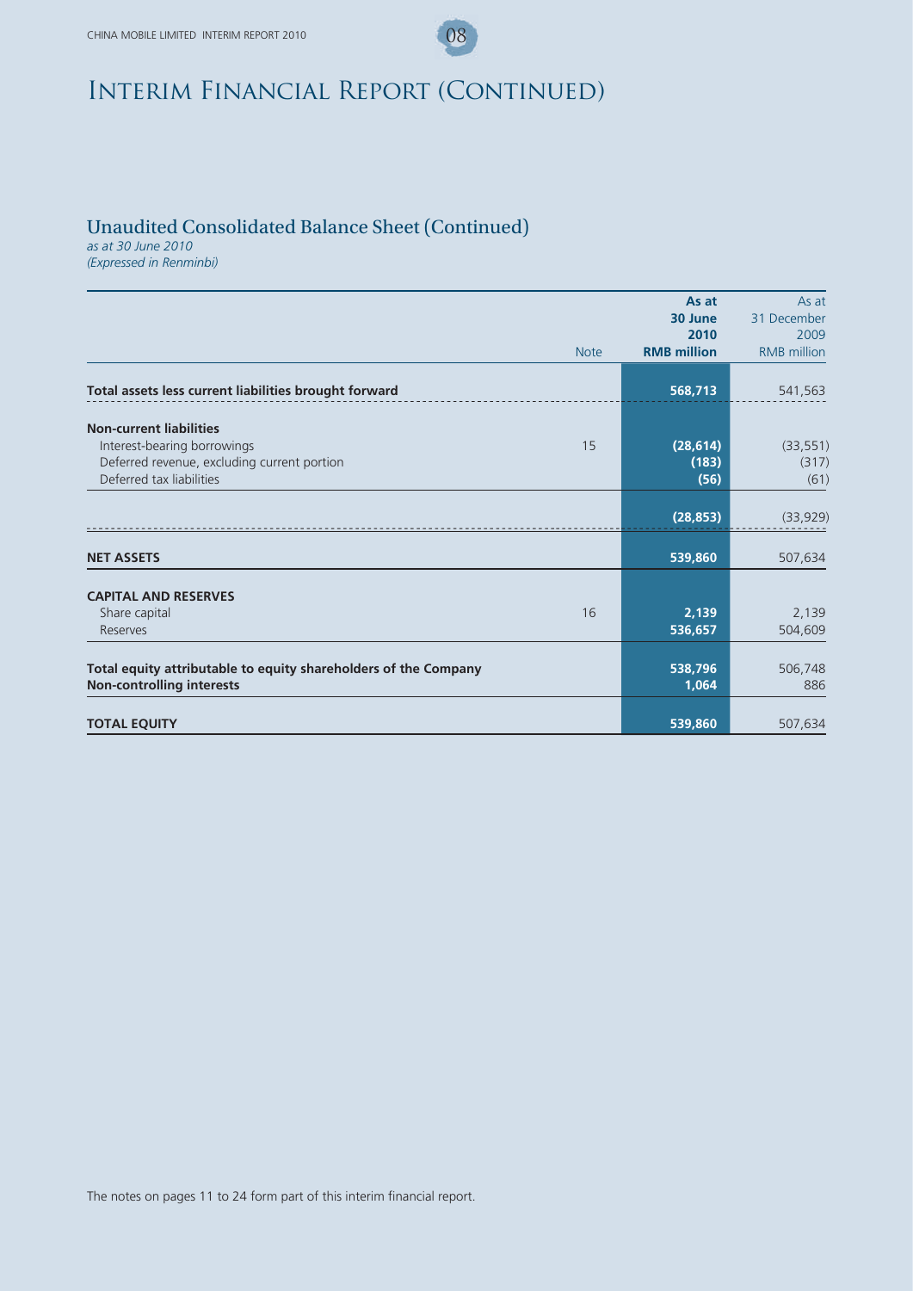## Unaudited Consolidated Balance Sheet (Continued)

*as at 30 June 2010 (Expressed in Renminbi)*

|                                                                                                                                                | As at<br>30 June<br>2010   | As at<br>31 December<br>2009 |
|------------------------------------------------------------------------------------------------------------------------------------------------|----------------------------|------------------------------|
| <b>Note</b>                                                                                                                                    | <b>RMB</b> million         | <b>RMB</b> million           |
| Total assets less current liabilities brought forward                                                                                          | 568,713                    | 541,563                      |
| <b>Non-current liabilities</b><br>Interest-bearing borrowings<br>15<br>Deferred revenue, excluding current portion<br>Deferred tax liabilities | (28, 614)<br>(183)<br>(56) | (33, 551)<br>(317)<br>(61)   |
|                                                                                                                                                | (28, 853)                  | (33,929)                     |
| <b>NET ASSETS</b>                                                                                                                              | 539,860                    | 507,634                      |
| <b>CAPITAL AND RESERVES</b><br>16<br>Share capital<br>Reserves                                                                                 | 2,139<br>536,657           | 2,139<br>504,609             |
| Total equity attributable to equity shareholders of the Company<br><b>Non-controlling interests</b>                                            | 538,796<br>1,064           | 506,748<br>886               |
| <b>TOTAL EQUITY</b>                                                                                                                            | 539,860                    | 507,634                      |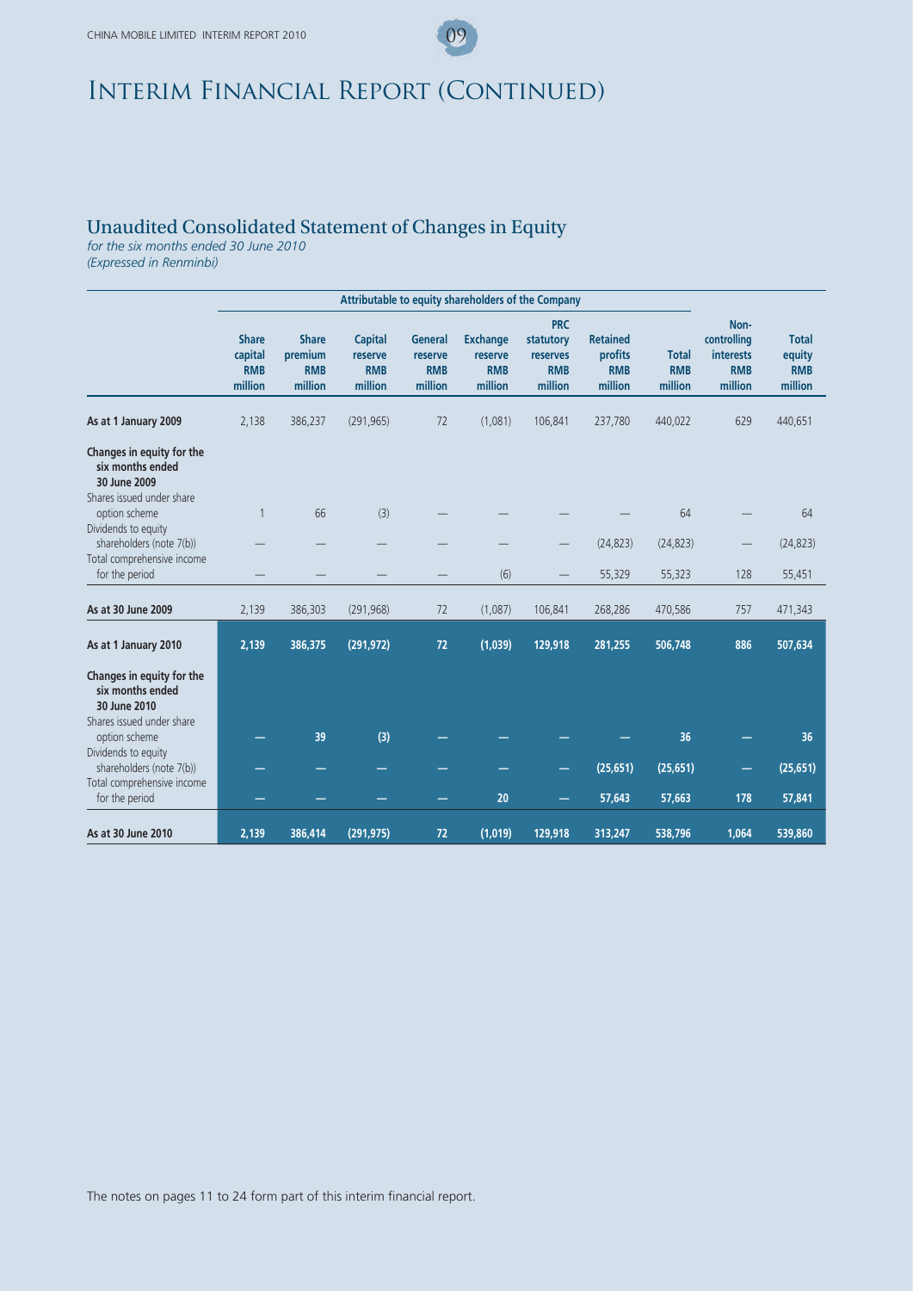### Unaudited Consolidated Statement of Changes in Equity

*for the six months ended 30 June 2010 (Expressed in Renminbi)*

**Attributable to equity shareholders of the Company Share capital Share premium Capital reserve General reserve Exchange reserve PRC statutory reserves Retained profits Total Noncontrolling interests Total equity RMB million RMB million RMB million RMB million RMB million RMB million RMB million RMB million RMB million RMB million As at 1 January 2009** 2,138 386,237 (291,965) 72 (1,081) 106,841 237,780 440,022 629 440,651 **Changes in equity for the six months ended 30 June 2009** Shares issued under share option scheme 1 66 (3) — — — — 64 — 64 Dividends to equity  $\frac{1}{2}$  shareholders (note 7(b))  $\qquad \qquad \qquad \qquad \qquad \qquad \qquad$  (24,823) (24,823)  $\qquad -$  (24,823) Total comprehensive income for the period — — — — (6) — 55,329 55,323 128 55,451**As at 30 June 2009** 2,139 386,303 (291,968) 72 (1,087) 106,841 268,286 470,586 757 471,343 **As at 1 January 2010 2,139 386,375 (291,972) 72 (1,039) 129,918 281,255 506,748 886 507,634 Changes in equity for the six months ended 30 June 2010** Shares issued under share option scheme **— 39 (3) — — — — 36 — 36** Dividends to equity shareholders (note 7(b)) **25,651 —** — — — — — — — (25,651) (25,651) **—** (25,651) Total comprehensive income for the period **— — — — 20 — 57,643 57,663 178 57,841 As at 30 June 2010 2,139 386,414 (291,975) 72 (1,019) 129,918 313,247 538,796 1,064 539,860**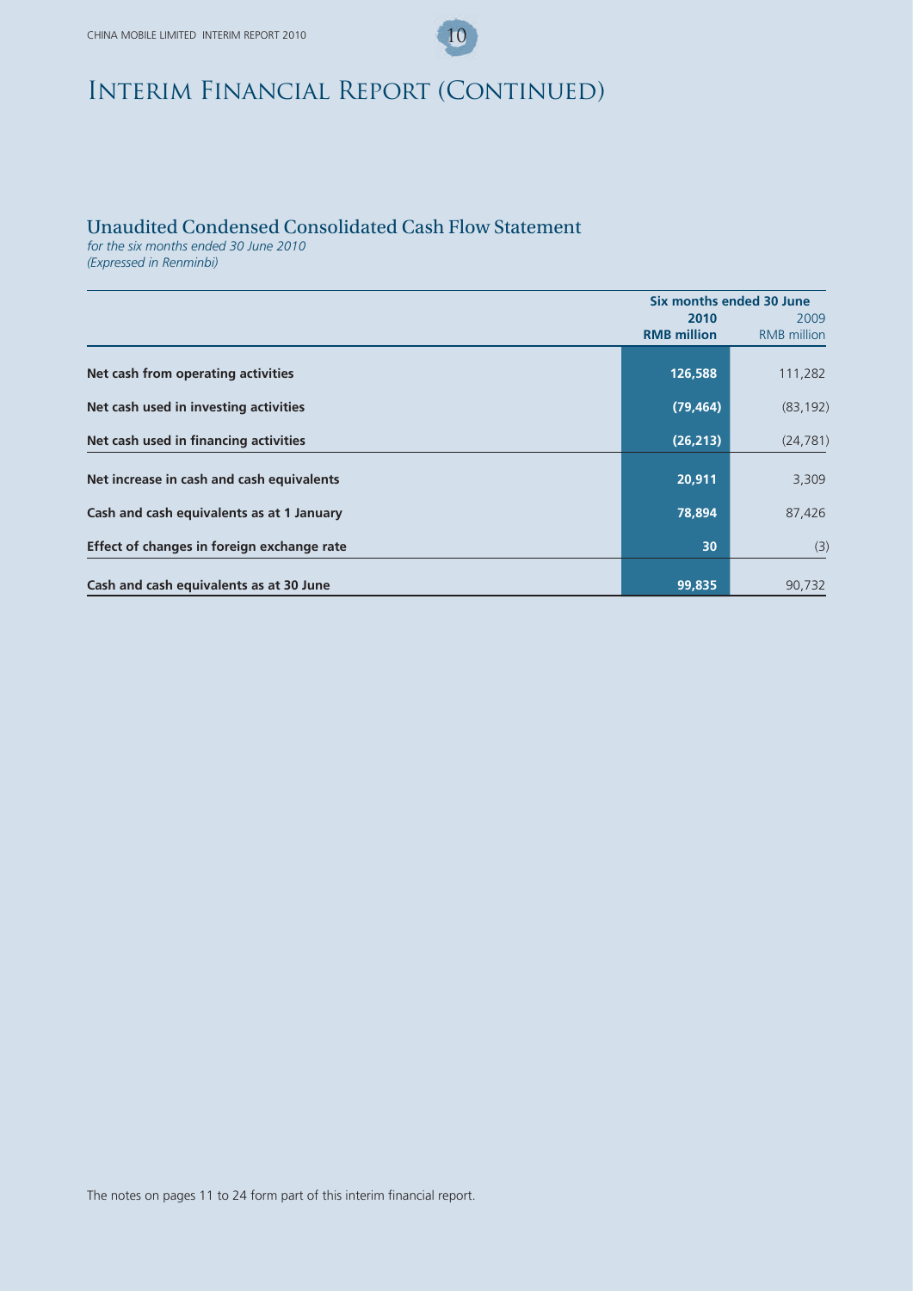### Unaudited Condensed Consolidated Cash Flow Statement

*for the six months ended 30 June 2010 (Expressed in Renminbi)*

|                                            | Six months ended 30 June |                    |
|--------------------------------------------|--------------------------|--------------------|
|                                            | 2010                     | 2009               |
|                                            | <b>RMB</b> million       | <b>RMB</b> million |
|                                            |                          |                    |
| Net cash from operating activities         | 126,588                  | 111,282            |
|                                            |                          |                    |
| Net cash used in investing activities      | (79, 464)                | (83, 192)          |
|                                            | (26, 213)                |                    |
| Net cash used in financing activities      |                          | (24, 781)          |
|                                            |                          |                    |
| Net increase in cash and cash equivalents  | 20,911                   | 3,309              |
| Cash and cash equivalents as at 1 January  | 78,894                   | 87,426             |
|                                            |                          |                    |
| Effect of changes in foreign exchange rate | 30                       | (3)                |
|                                            |                          |                    |
| Cash and cash equivalents as at 30 June    | 99,835                   | 90,732             |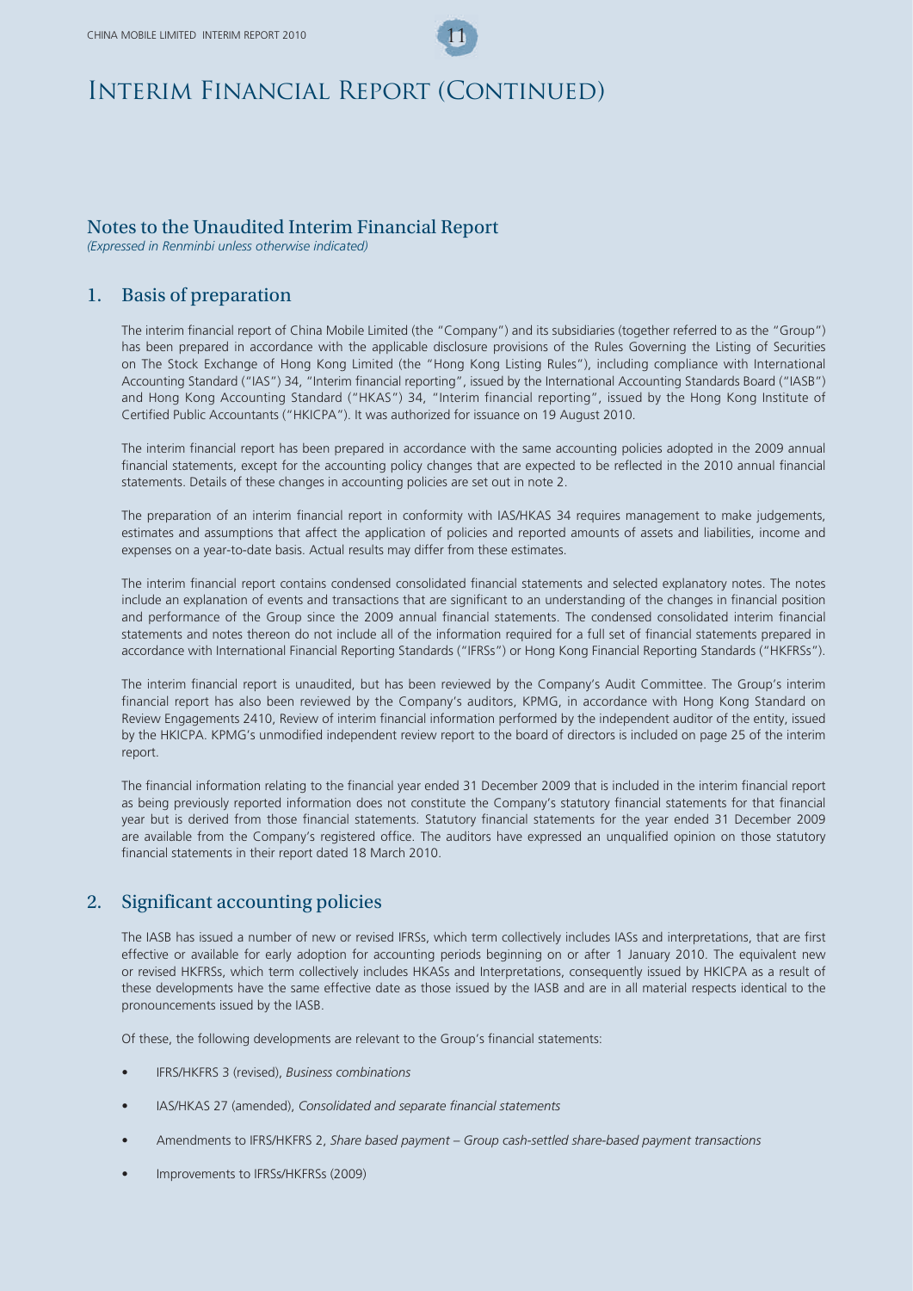### Notes to the Unaudited Interim Financial Report

*(Expressed in Renminbi unless otherwise indicated)*

### 1. Basis of preparation

The interim financial report of China Mobile Limited (the "Company") and its subsidiaries (together referred to as the "Group") has been prepared in accordance with the applicable disclosure provisions of the Rules Governing the Listing of Securities on The Stock Exchange of Hong Kong Limited (the "Hong Kong Listing Rules"), including compliance with International Accounting Standard ("IAS") 34, "Interim financial reporting", issued by the International Accounting Standards Board ("IASB") and Hong Kong Accounting Standard ("HKAS") 34, "Interim financial reporting", issued by the Hong Kong Institute of Certified Public Accountants ("HKICPA"). It was authorized for issuance on 19 August 2010.

The interim financial report has been prepared in accordance with the same accounting policies adopted in the 2009 annual financial statements, except for the accounting policy changes that are expected to be reflected in the 2010 annual financial statements. Details of these changes in accounting policies are set out in note 2.

The preparation of an interim financial report in conformity with IAS/HKAS 34 requires management to make judgements, estimates and assumptions that affect the application of policies and reported amounts of assets and liabilities, income and expenses on a year-to-date basis. Actual results may differ from these estimates.

The interim financial report contains condensed consolidated financial statements and selected explanatory notes. The notes include an explanation of events and transactions that are significant to an understanding of the changes in financial position and performance of the Group since the 2009 annual financial statements. The condensed consolidated interim financial statements and notes thereon do not include all of the information required for a full set of financial statements prepared in accordance with International Financial Reporting Standards ("IFRSs") or Hong Kong Financial Reporting Standards ("HKFRSs").

The interim financial report is unaudited, but has been reviewed by the Company's Audit Committee. The Group's interim financial report has also been reviewed by the Company's auditors, KPMG, in accordance with Hong Kong Standard on Review Engagements 2410, Review of interim financial information performed by the independent auditor of the entity, issued by the HKICPA. KPMG's unmodified independent review report to the board of directors is included on page 25 of the interim report.

The financial information relating to the financial year ended 31 December 2009 that is included in the interim financial report as being previously reported information does not constitute the Company's statutory financial statements for that financial year but is derived from those financial statements. Statutory financial statements for the year ended 31 December 2009 are available from the Company's registered office. The auditors have expressed an unqualified opinion on those statutory financial statements in their report dated 18 March 2010.

### 2. Significant accounting policies

The IASB has issued a number of new or revised IFRSs, which term collectively includes IASs and interpretations, that are first effective or available for early adoption for accounting periods beginning on or after 1 January 2010. The equivalent new or revised HKFRSs, which term collectively includes HKASs and Interpretations, consequently issued by HKICPA as a result of these developments have the same effective date as those issued by the IASB and are in all material respects identical to the pronouncements issued by the IASB.

Of these, the following developments are relevant to the Group's financial statements:

- IFRS/HKFRS 3 (revised), *Business combinations*
- IAS/HKAS 27 (amended), *Consolidated and separate financial statements*
- Amendments to IFRS/HKFRS 2, *Share based payment Group cash-settled share-based payment transactions*
- Improvements to IFRSs/HKFRSs (2009)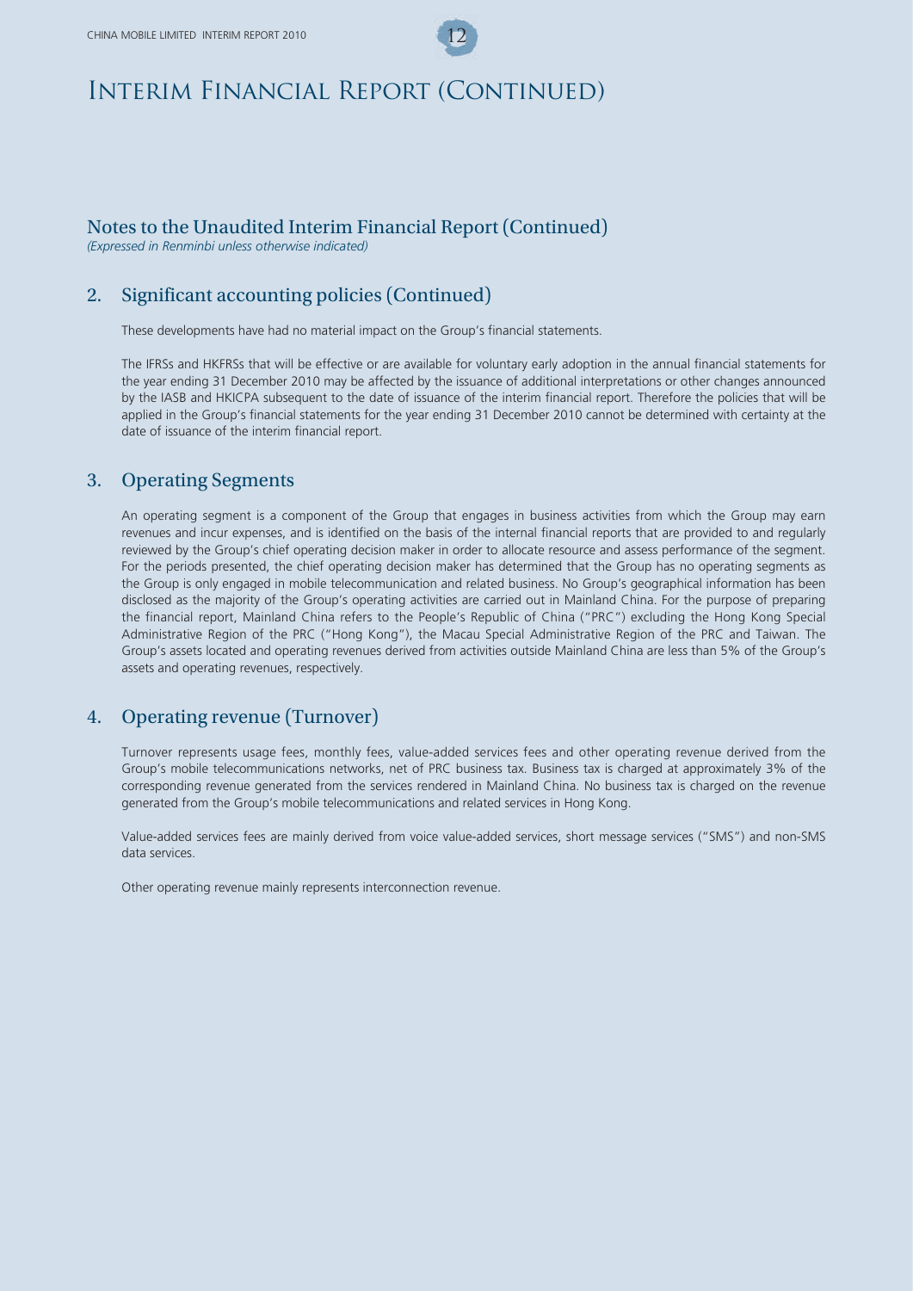### Notes to the Unaudited Interim Financial Report (Continued)

*(Expressed in Renminbi unless otherwise indicated)*

### 2. Significant accounting policies (Continued)

These developments have had no material impact on the Group's financial statements.

The IFRSs and HKFRSs that will be effective or are available for voluntary early adoption in the annual financial statements for the year ending 31 December 2010 may be affected by the issuance of additional interpretations or other changes announced by the IASB and HKICPA subsequent to the date of issuance of the interim financial report. Therefore the policies that will be applied in the Group's financial statements for the year ending 31 December 2010 cannot be determined with certainty at the date of issuance of the interim financial report.

### 3. Operating Segments

An operating segment is a component of the Group that engages in business activities from which the Group may earn revenues and incur expenses, and is identified on the basis of the internal financial reports that are provided to and regularly reviewed by the Group's chief operating decision maker in order to allocate resource and assess performance of the segment. For the periods presented, the chief operating decision maker has determined that the Group has no operating segments as the Group is only engaged in mobile telecommunication and related business. No Group's geographical information has been disclosed as the majority of the Group's operating activities are carried out in Mainland China. For the purpose of preparing the financial report, Mainland China refers to the People's Republic of China ("PRC") excluding the Hong Kong Special Administrative Region of the PRC ("Hong Kong"), the Macau Special Administrative Region of the PRC and Taiwan. The Group's assets located and operating revenues derived from activities outside Mainland China are less than 5% of the Group's assets and operating revenues, respectively.

### 4. Operating revenue (Turnover)

Turnover represents usage fees, monthly fees, value-added services fees and other operating revenue derived from the Group's mobile telecommunications networks, net of PRC business tax. Business tax is charged at approximately 3% of the corresponding revenue generated from the services rendered in Mainland China. No business tax is charged on the revenue generated from the Group's mobile telecommunications and related services in Hong Kong.

Value-added services fees are mainly derived from voice value-added services, short message services ("SMS") and non-SMS data services.

Other operating revenue mainly represents interconnection revenue.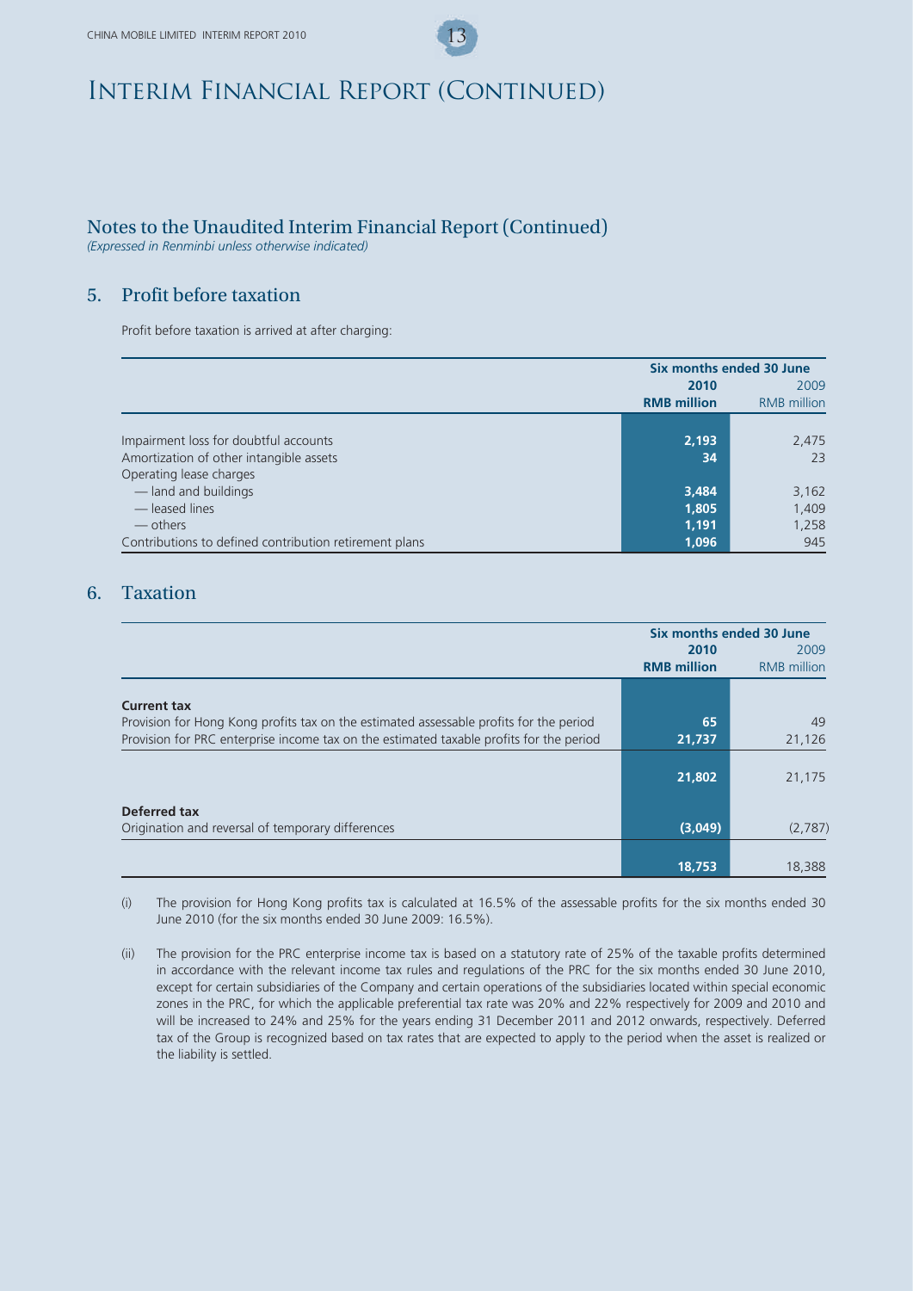## Notes to the Unaudited Interim Financial Report (Continued)

*(Expressed in Renminbi unless otherwise indicated)*

## 5. Profit before taxation

Profit before taxation is arrived at after charging:

|                                                        | Six months ended 30 June |                    |
|--------------------------------------------------------|--------------------------|--------------------|
|                                                        | 2010                     | 2009               |
|                                                        | <b>RMB</b> million       | <b>RMB</b> million |
|                                                        |                          |                    |
| Impairment loss for doubtful accounts                  | 2,193                    | 2,475              |
| Amortization of other intangible assets                | 34                       | 23                 |
| Operating lease charges                                |                          |                    |
| -land and buildings                                    | 3,484                    | 3,162              |
| - leased lines                                         | 1,805                    | 1,409              |
| — others                                               | 1,191                    | 1,258              |
| Contributions to defined contribution retirement plans | 1,096                    | 945                |

### 6. Taxation

|                                                                                         | Six months ended 30 June |                    |
|-----------------------------------------------------------------------------------------|--------------------------|--------------------|
|                                                                                         | 2010                     | 2009               |
|                                                                                         | <b>RMB</b> million       | <b>RMB</b> million |
|                                                                                         |                          |                    |
| <b>Current tax</b>                                                                      |                          |                    |
| Provision for Hong Kong profits tax on the estimated assessable profits for the period  | 65                       | 49                 |
| Provision for PRC enterprise income tax on the estimated taxable profits for the period | 21,737                   | 21,126             |
|                                                                                         |                          |                    |
|                                                                                         | 21,802                   | 21,175             |
|                                                                                         |                          |                    |
| Deferred tax                                                                            |                          |                    |
| Origination and reversal of temporary differences                                       | (3,049)                  | (2,787)            |
|                                                                                         |                          |                    |
|                                                                                         | 18,753                   | 18,388             |

(i) The provision for Hong Kong profits tax is calculated at 16.5% of the assessable profits for the six months ended 30 June 2010 (for the six months ended 30 June 2009: 16.5%).

(ii) The provision for the PRC enterprise income tax is based on a statutory rate of 25% of the taxable profits determined in accordance with the relevant income tax rules and regulations of the PRC for the six months ended 30 June 2010, except for certain subsidiaries of the Company and certain operations of the subsidiaries located within special economic zones in the PRC, for which the applicable preferential tax rate was 20% and 22% respectively for 2009 and 2010 and will be increased to 24% and 25% for the years ending 31 December 2011 and 2012 onwards, respectively. Deferred tax of the Group is recognized based on tax rates that are expected to apply to the period when the asset is realized or the liability is settled.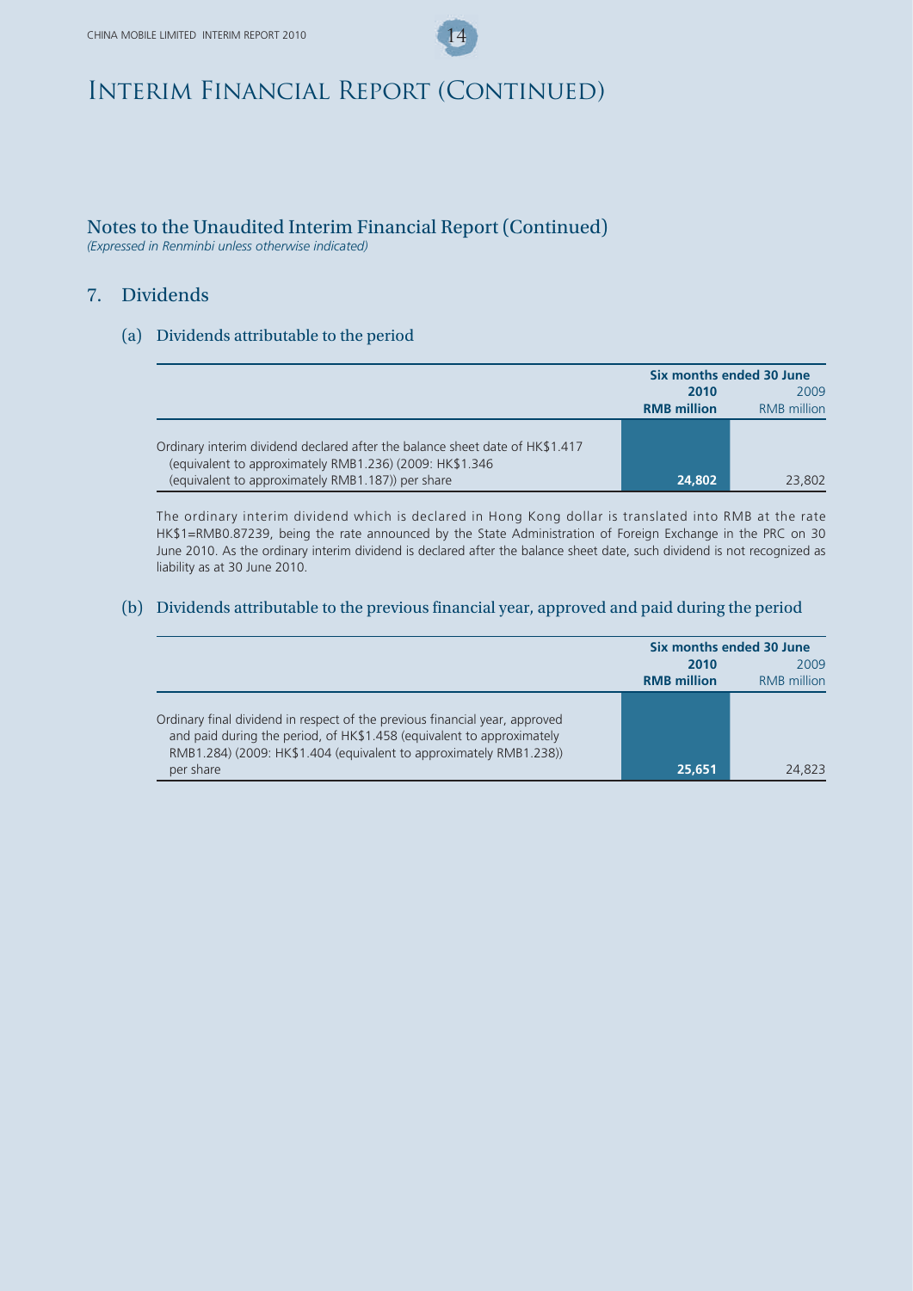## Notes to the Unaudited Interim Financial Report (Continued)

*(Expressed in Renminbi unless otherwise indicated)*

### 7. Dividends

### (a) Dividends attributable to the period

|                                                                                                                                         | Six months ended 30 June |                    |
|-----------------------------------------------------------------------------------------------------------------------------------------|--------------------------|--------------------|
|                                                                                                                                         | 2010                     | 2009               |
|                                                                                                                                         | <b>RMB</b> million       | <b>RMB</b> million |
| Ordinary interim dividend declared after the balance sheet date of HK\$1.417<br>(equivalent to approximately RMB1.236) (2009: HK\$1.346 |                          |                    |
| (equivalent to approximately RMB1.187)) per share                                                                                       | 24,802                   | 23,802             |

The ordinary interim dividend which is declared in Hong Kong dollar is translated into RMB at the rate HK\$1=RMB0.87239, being the rate announced by the State Administration of Foreign Exchange in the PRC on 30 June 2010. As the ordinary interim dividend is declared after the balance sheet date, such dividend is not recognized as liability as at 30 June 2010.

### (b) Dividends attributable to the previous financial year, approved and paid during the period

|                                                                                                                                                                                                                                         | Six months ended 30 June |                    |
|-----------------------------------------------------------------------------------------------------------------------------------------------------------------------------------------------------------------------------------------|--------------------------|--------------------|
|                                                                                                                                                                                                                                         | 2010                     | 2009               |
|                                                                                                                                                                                                                                         | <b>RMB</b> million       | <b>RMB</b> million |
| Ordinary final dividend in respect of the previous financial year, approved<br>and paid during the period, of HK\$1.458 (equivalent to approximately<br>RMB1.284) (2009: HK\$1.404 (equivalent to approximately RMB1.238))<br>per share | 25,651                   | 24.823             |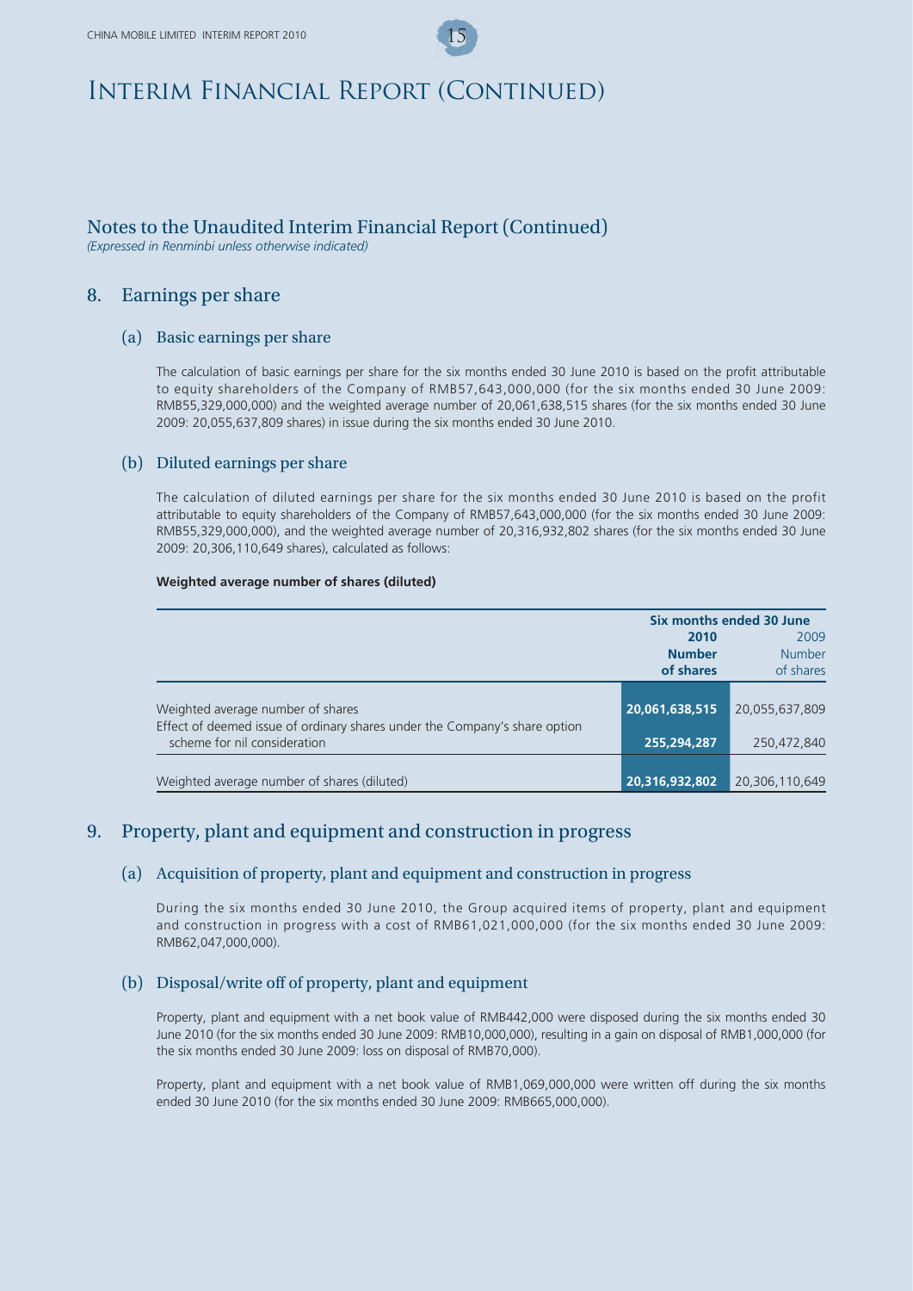### Notes to the Unaudited Interim Financial Report (Continued)

*(Expressed in Renminbi unless otherwise indicated)*

### 8. Earnings per share

#### (a) Basic earnings per share

The calculation of basic earnings per share for the six months ended 30 June 2010 is based on the profit attributable to equity shareholders of the Company of RMB57,643,000,000 (for the six months ended 30 June 2009: RMB55,329,000,000) and the weighted average number of 20,061,638,515 shares (for the six months ended 30 June 2009: 20,055,637,809 shares) in issue during the six months ended 30 June 2010.

#### (b) Diluted earnings per share

The calculation of diluted earnings per share for the six months ended 30 June 2010 is based on the profit attributable to equity shareholders of the Company of RMB57,643,000,000 (for the six months ended 30 June 2009: RMB55,329,000,000), and the weighted average number of 20,316,932,802 shares (for the six months ended 30 June 2009: 20,306,110,649 shares), calculated as follows:

#### **Weighted average number of shares (diluted)**

|                                                                                                                 | Six months ended 30 June |                |
|-----------------------------------------------------------------------------------------------------------------|--------------------------|----------------|
|                                                                                                                 | 2010                     | 2009           |
|                                                                                                                 | <b>Number</b>            | <b>Number</b>  |
|                                                                                                                 | of shares                | of shares      |
| Weighted average number of shares<br>Effect of deemed issue of ordinary shares under the Company's share option | 20,061,638,515           | 20,055,637,809 |
| scheme for nil consideration                                                                                    | 255,294,287              | 250,472,840    |
| Weighted average number of shares (diluted)                                                                     | 20,316,932,802           | 20,306,110,649 |

### 9. Property, plant and equipment and construction in progress

#### (a) Acquisition of property, plant and equipment and construction in progress

During the six months ended 30 June 2010, the Group acquired items of property, plant and equipment and construction in progress with a cost of RMB61,021,000,000 (for the six months ended 30 June 2009: RMB62,047,000,000).

### (b) Disposal/write off of property, plant and equipment

Property, plant and equipment with a net book value of RMB442,000 were disposed during the six months ended 30 June 2010 (for the six months ended 30 June 2009: RMB10,000,000), resulting in a gain on disposal of RMB1,000,000 (for the six months ended 30 June 2009: loss on disposal of RMB70,000).

Property, plant and equipment with a net book value of RMB1,069,000,000 were written off during the six months ended 30 June 2010 (for the six months ended 30 June 2009: RMB665,000,000).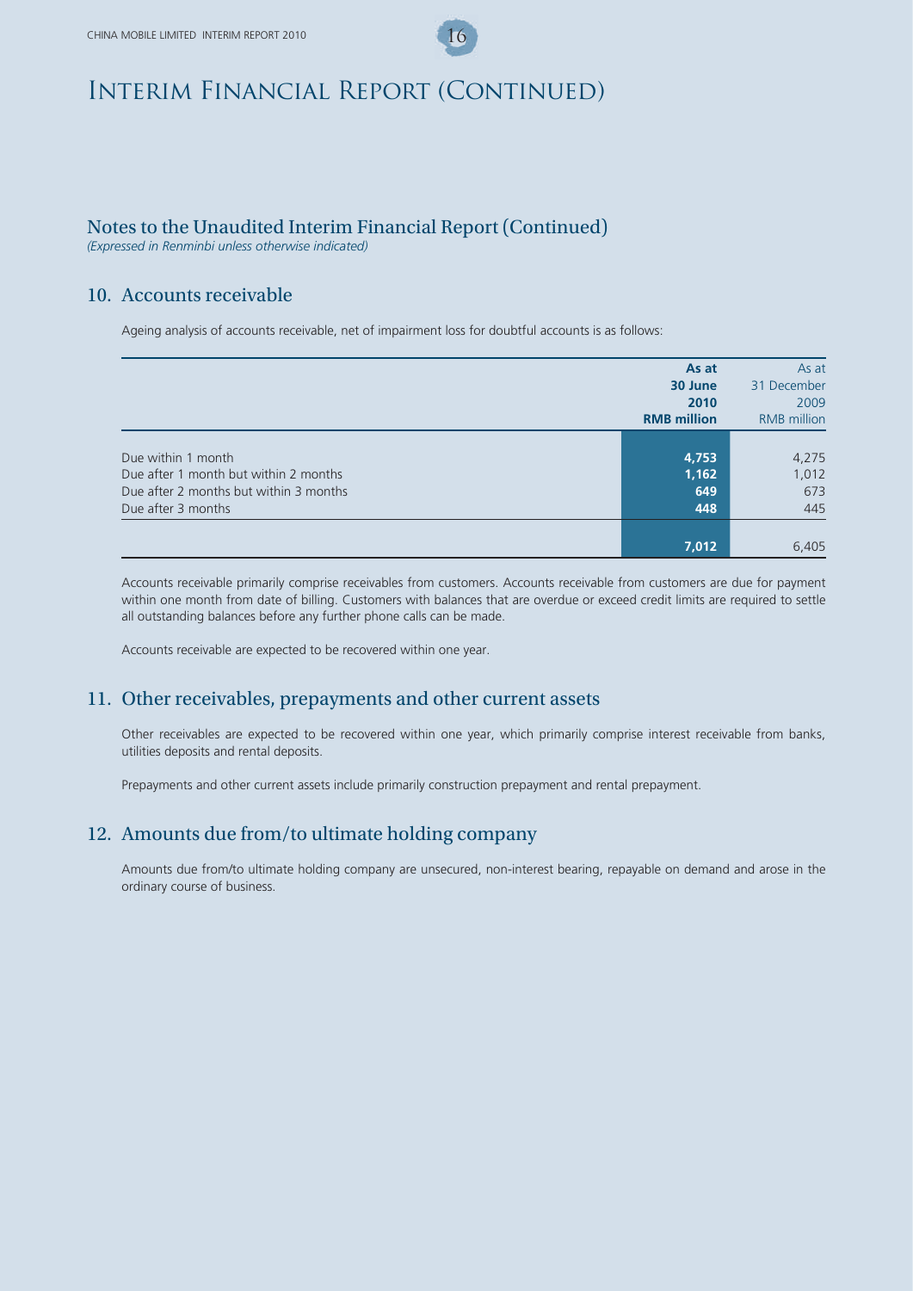### Notes to the Unaudited Interim Financial Report (Continued)

*(Expressed in Renminbi unless otherwise indicated)*

### 10. Accounts receivable

Ageing analysis of accounts receivable, net of impairment loss for doubtful accounts is as follows:

|                                                                                 | As at<br>30 June<br>2010<br><b>RMB</b> million | As at<br>31 December<br>2009<br><b>RMB</b> million |
|---------------------------------------------------------------------------------|------------------------------------------------|----------------------------------------------------|
| Due within 1 month                                                              | 4,753                                          | 4,275                                              |
| Due after 1 month but within 2 months<br>Due after 2 months but within 3 months | 1,162<br>649                                   | 1,012<br>673                                       |
| Due after 3 months                                                              | 448                                            | 445                                                |
|                                                                                 | 7,012                                          | 6,405                                              |

Accounts receivable primarily comprise receivables from customers. Accounts receivable from customers are due for payment within one month from date of billing. Customers with balances that are overdue or exceed credit limits are required to settle all outstanding balances before any further phone calls can be made.

Accounts receivable are expected to be recovered within one year.

### 11. Other receivables, prepayments and other current assets

Other receivables are expected to be recovered within one year, which primarily comprise interest receivable from banks, utilities deposits and rental deposits.

Prepayments and other current assets include primarily construction prepayment and rental prepayment.

### 12. Amounts due from/to ultimate holding company

Amounts due from/to ultimate holding company are unsecured, non-interest bearing, repayable on demand and arose in the ordinary course of business.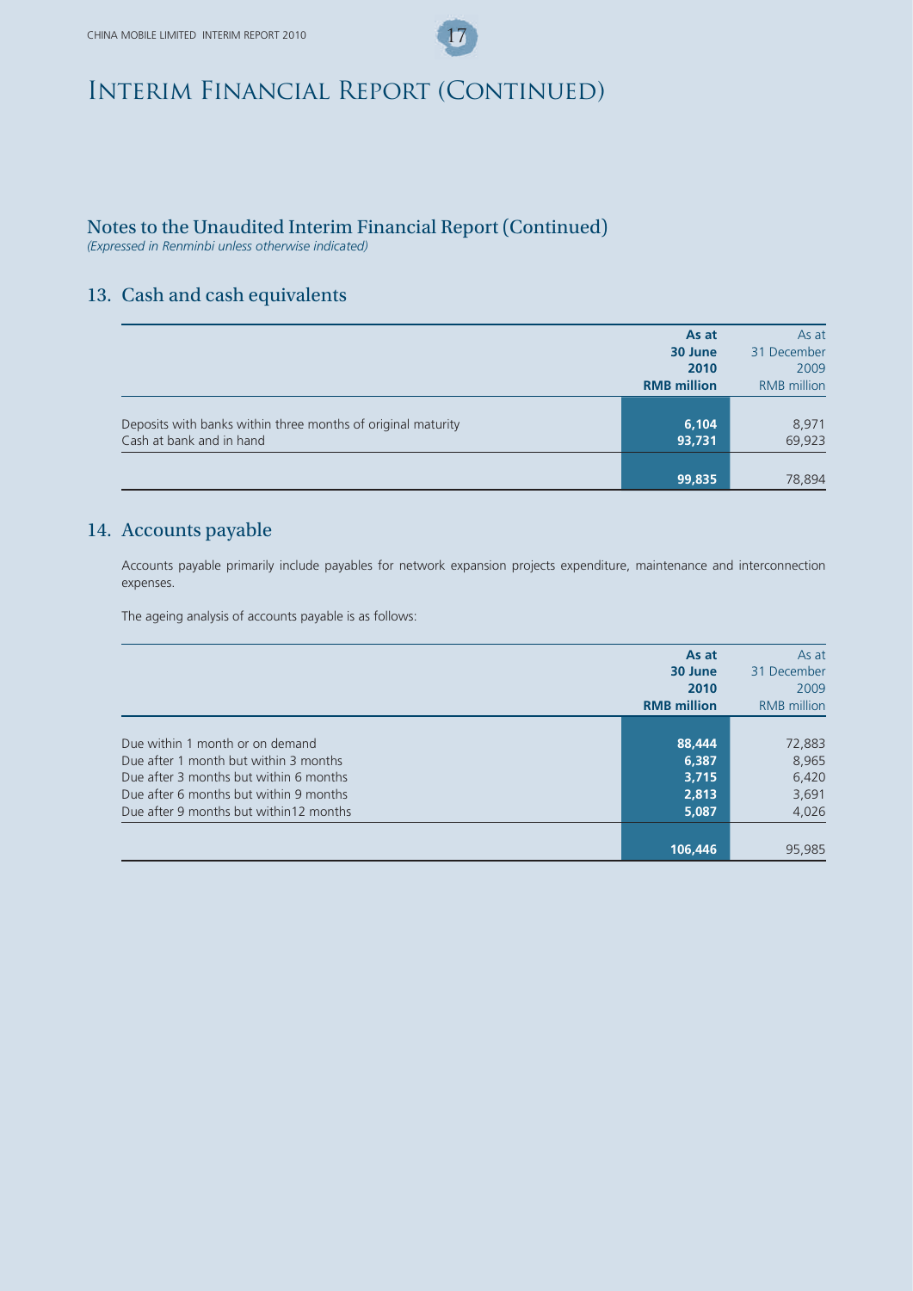## Notes to the Unaudited Interim Financial Report (Continued)

*(Expressed in Renminbi unless otherwise indicated)*

## 13. Cash and cash equivalents

|                                                                                          | As at              | As at              |
|------------------------------------------------------------------------------------------|--------------------|--------------------|
|                                                                                          | 30 June            | 31 December        |
|                                                                                          | 2010               | 2009               |
|                                                                                          | <b>RMB</b> million | <b>RMB</b> million |
| Deposits with banks within three months of original maturity<br>Cash at bank and in hand | 6,104<br>93,731    | 8,971<br>69,923    |
|                                                                                          | 99,835             | 78,894             |

## 14. Accounts payable

Accounts payable primarily include payables for network expansion projects expenditure, maintenance and interconnection expenses.

The ageing analysis of accounts payable is as follows:

|                                                                                                                                                                                                         | As at<br>30 June<br>2010<br><b>RMB</b> million | As at<br>31 December<br>2009<br><b>RMB</b> million |
|---------------------------------------------------------------------------------------------------------------------------------------------------------------------------------------------------------|------------------------------------------------|----------------------------------------------------|
|                                                                                                                                                                                                         |                                                |                                                    |
| Due within 1 month or on demand<br>Due after 1 month but within 3 months<br>Due after 3 months but within 6 months<br>Due after 6 months but within 9 months<br>Due after 9 months but within 12 months | 88,444<br>6,387<br>3.715<br>2,813<br>5,087     | 72,883<br>8,965<br>6,420<br>3,691<br>4,026         |
|                                                                                                                                                                                                         | 106,446                                        | 95,985                                             |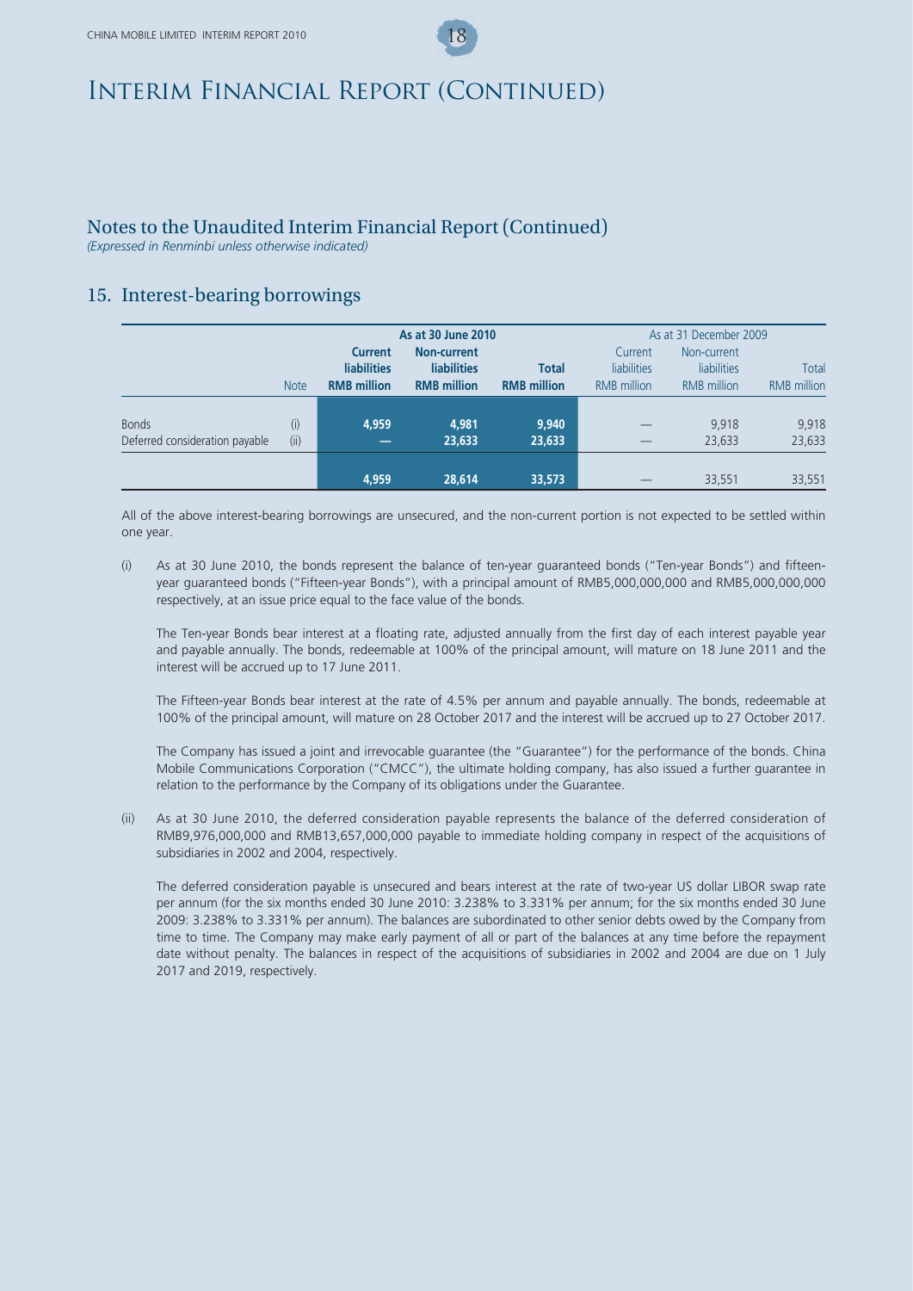### Notes to the Unaudited Interim Financial Report (Continued)

*(Expressed in Renminbi unless otherwise indicated)*

## 15. Interest-bearing borrowings

|                                |             | As at 30 June 2010 |                    |                    |                    | As at 31 December 2009 |                    |
|--------------------------------|-------------|--------------------|--------------------|--------------------|--------------------|------------------------|--------------------|
|                                |             | <b>Current</b>     | <b>Non-current</b> |                    | Current            | Non-current            |                    |
|                                |             | <b>liabilities</b> | <b>liabilities</b> | <b>Total</b>       | liabilities        | <b>liabilities</b>     | Total              |
|                                | <b>Note</b> | <b>RMB</b> million | <b>RMB</b> million | <b>RMB</b> million | <b>RMB</b> million | <b>RMB</b> million     | <b>RMB</b> million |
|                                |             |                    |                    |                    |                    |                        |                    |
| <b>Bonds</b>                   | (i)         | 4.959              | 4.981              | 9,940              |                    | 9,918                  | 9,918              |
| Deferred consideration payable | (ii)        | $\sim$             | 23,633             | 23,633             | –                  | 23,633                 | 23,633             |
|                                |             |                    |                    |                    |                    |                        |                    |
|                                |             | 4.959              | 28,614             | 33,573             |                    | 33,551                 | 33,551             |

All of the above interest-bearing borrowings are unsecured, and the non-current portion is not expected to be settled within one year.

(i) As at 30 June 2010, the bonds represent the balance of ten-year guaranteed bonds ("Ten-year Bonds") and fifteenyear guaranteed bonds ("Fifteen-year Bonds"), with a principal amount of RMB5,000,000,000 and RMB5,000,000,000 respectively, at an issue price equal to the face value of the bonds.

The Ten-year Bonds bear interest at a floating rate, adjusted annually from the first day of each interest payable year and payable annually. The bonds, redeemable at 100% of the principal amount, will mature on 18 June 2011 and the interest will be accrued up to 17 June 2011.

The Fifteen-year Bonds bear interest at the rate of 4.5% per annum and payable annually. The bonds, redeemable at 100% of the principal amount, will mature on 28 October 2017 and the interest will be accrued up to 27 October 2017.

The Company has issued a joint and irrevocable guarantee (the "Guarantee") for the performance of the bonds. China Mobile Communications Corporation ("CMCC"), the ultimate holding company, has also issued a further guarantee in relation to the performance by the Company of its obligations under the Guarantee.

(ii) As at 30 June 2010, the deferred consideration payable represents the balance of the deferred consideration of RMB9,976,000,000 and RMB13,657,000,000 payable to immediate holding company in respect of the acquisitions of subsidiaries in 2002 and 2004, respectively.

The deferred consideration payable is unsecured and bears interest at the rate of two-year US dollar LIBOR swap rate per annum (for the six months ended 30 June 2010: 3.238% to 3.331% per annum; for the six months ended 30 June 2009: 3.238% to 3.331% per annum). The balances are subordinated to other senior debts owed by the Company from time to time. The Company may make early payment of all or part of the balances at any time before the repayment date without penalty. The balances in respect of the acquisitions of subsidiaries in 2002 and 2004 are due on 1 July 2017 and 2019, respectively.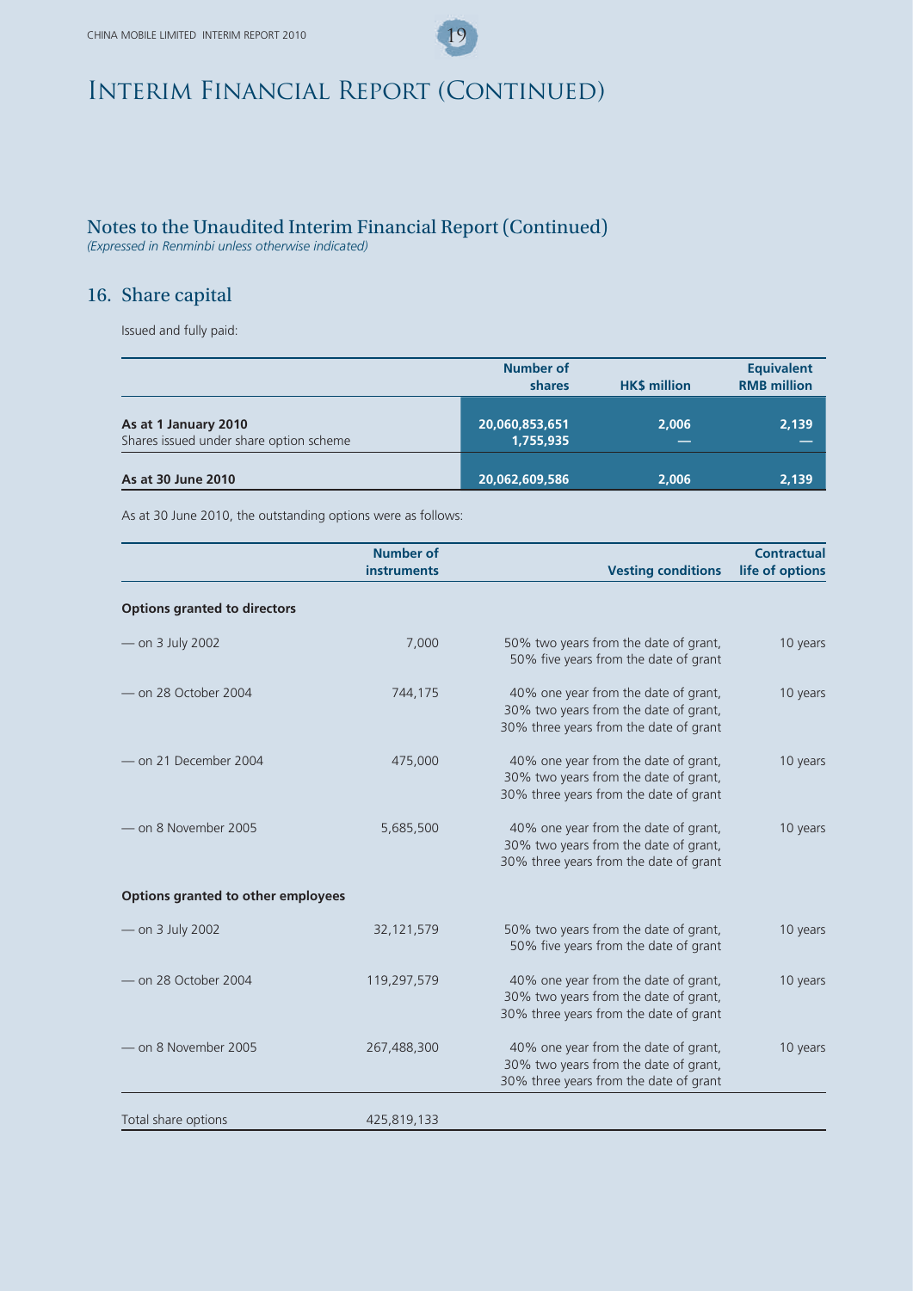## Notes to the Unaudited Interim Financial Report (Continued)

*(Expressed in Renminbi unless otherwise indicated)*

## 16. Share capital

Issued and fully paid:

|                                                                 | <b>Number of</b><br>shares  | <b>HKS million</b> | <b>Equivalent</b><br><b>RMB</b> million |
|-----------------------------------------------------------------|-----------------------------|--------------------|-----------------------------------------|
| As at 1 January 2010<br>Shares issued under share option scheme | 20,060,853,651<br>1,755,935 | 2.006              | 2,139                                   |
| As at 30 June 2010                                              | 20,062,609,586              | 2.006              | 2,139                                   |

As at 30 June 2010, the outstanding options were as follows:

|                                     | <b>Number of</b><br><b>instruments</b> | <b>Vesting conditions</b>                                                                                               | <b>Contractual</b><br>life of options |
|-------------------------------------|----------------------------------------|-------------------------------------------------------------------------------------------------------------------------|---------------------------------------|
| <b>Options granted to directors</b> |                                        |                                                                                                                         |                                       |
| - on 3 July 2002                    | 7,000                                  | 50% two years from the date of grant,<br>50% five years from the date of grant                                          | 10 years                              |
| - on 28 October 2004                | 744,175                                | 40% one year from the date of grant,<br>30% two years from the date of grant,<br>30% three years from the date of grant | 10 years                              |
| - on 21 December 2004               | 475,000                                | 40% one year from the date of grant,<br>30% two years from the date of grant,<br>30% three years from the date of grant | 10 years                              |
| on 8 November 2005 -                | 5,685,500                              | 40% one year from the date of grant,<br>30% two years from the date of grant,<br>30% three years from the date of grant | 10 years                              |
| Options granted to other employees  |                                        |                                                                                                                         |                                       |
| - on 3 July 2002                    | 32,121,579                             | 50% two years from the date of grant,<br>50% five years from the date of grant                                          | 10 years                              |
| - on 28 October 2004                | 119,297,579                            | 40% one year from the date of grant,<br>30% two years from the date of grant,<br>30% three years from the date of grant | 10 years                              |
| - on 8 November 2005                | 267,488,300                            | 40% one year from the date of grant,<br>30% two years from the date of grant,<br>30% three years from the date of grant | 10 years                              |
| Total share options                 | 425,819,133                            |                                                                                                                         |                                       |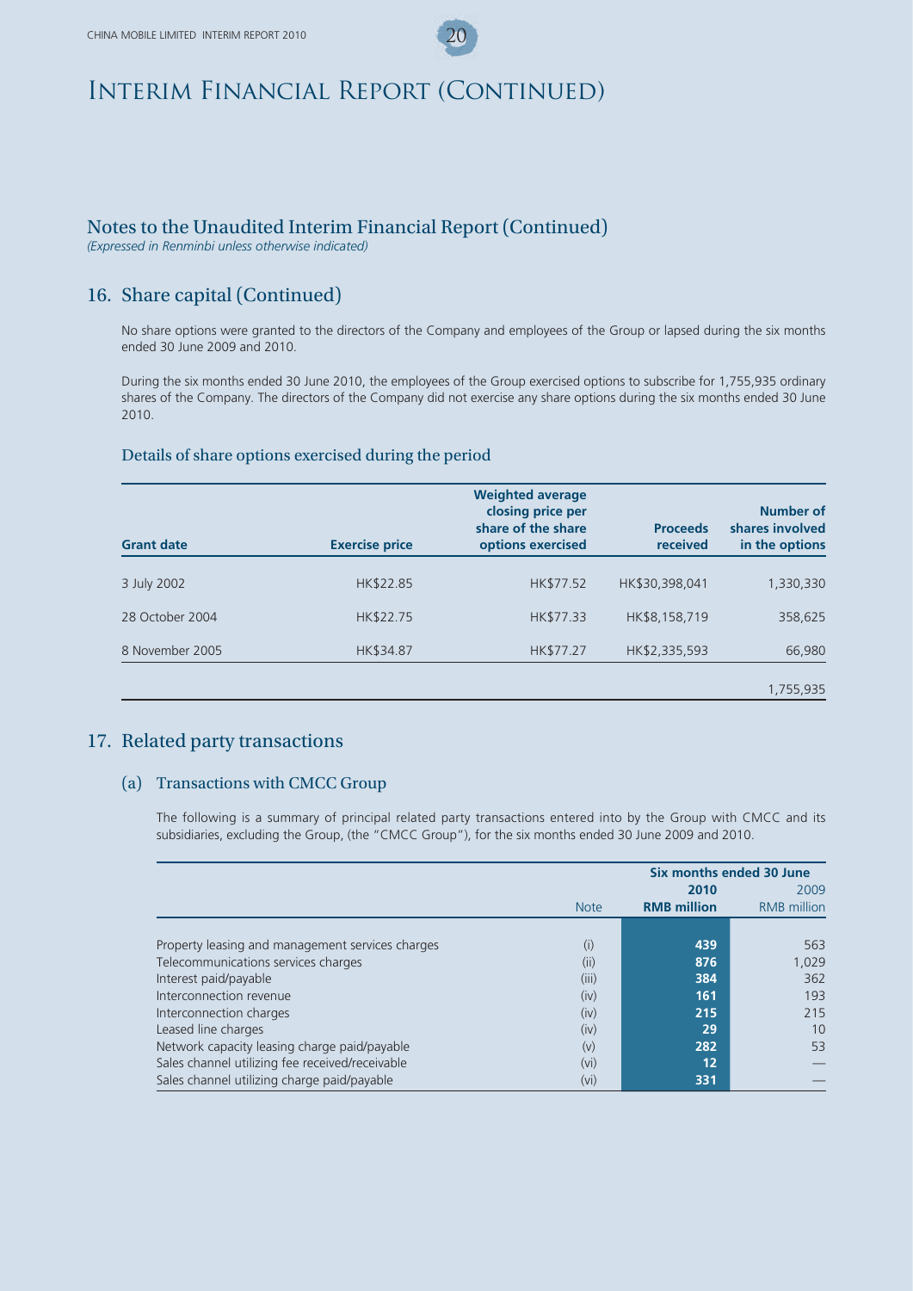## Notes to the Unaudited Interim Financial Report (Continued)

*(Expressed in Renminbi unless otherwise indicated)*

## 16. Share capital (Continued)

No share options were granted to the directors of the Company and employees of the Group or lapsed during the six months ended 30 June 2009 and 2010.

During the six months ended 30 June 2010, the employees of the Group exercised options to subscribe for 1,755,935 ordinary shares of the Company. The directors of the Company did not exercise any share options during the six months ended 30 June 2010.

#### Details of share options exercised during the period

| <b>Grant date</b> | <b>Exercise price</b> | <b>Weighted average</b><br>closing price per<br>share of the share<br>options exercised | <b>Proceeds</b><br>received | Number of<br>shares involved<br>in the options |
|-------------------|-----------------------|-----------------------------------------------------------------------------------------|-----------------------------|------------------------------------------------|
| 3 July 2002       | HK\$22.85             | HK\$77.52                                                                               | HK\$30,398,041              | 1,330,330                                      |
| 28 October 2004   | HK\$22.75             | HK\$77.33                                                                               | HK\$8,158,719               | 358,625                                        |
| 8 November 2005   | HK\$34.87             | HK\$77.27                                                                               | HK\$2,335,593               | 66,980                                         |
|                   |                       |                                                                                         |                             | 1,755,935                                      |

### 17. Related party transactions

#### (a) Transactions with CMCC Group

The following is a summary of principal related party transactions entered into by the Group with CMCC and its subsidiaries, excluding the Group, (the "CMCC Group"), for the six months ended 30 June 2009 and 2010.

|                                                  | Six months ended 30 June |                    |                    |
|--------------------------------------------------|--------------------------|--------------------|--------------------|
|                                                  |                          | 2010               | 2009               |
|                                                  | <b>Note</b>              | <b>RMB</b> million | <b>RMB</b> million |
|                                                  |                          |                    |                    |
| Property leasing and management services charges | (i)                      | 439                | 563                |
| Telecommunications services charges              | (ii)                     | 876                | 1.029              |
| Interest paid/payable                            | (iii)                    | 384                | 362                |
| Interconnection revenue                          | (iv)                     | 161                | 193                |
| Interconnection charges                          | (iv)                     | 215                | 215                |
| Leased line charges                              | (iv)                     | 29                 | 10                 |
| Network capacity leasing charge paid/payable     | (v)                      | 282                | 53                 |
| Sales channel utilizing fee received/receivable  | (vi)                     | 12                 |                    |
| Sales channel utilizing charge paid/payable      | (vi)                     | 331                |                    |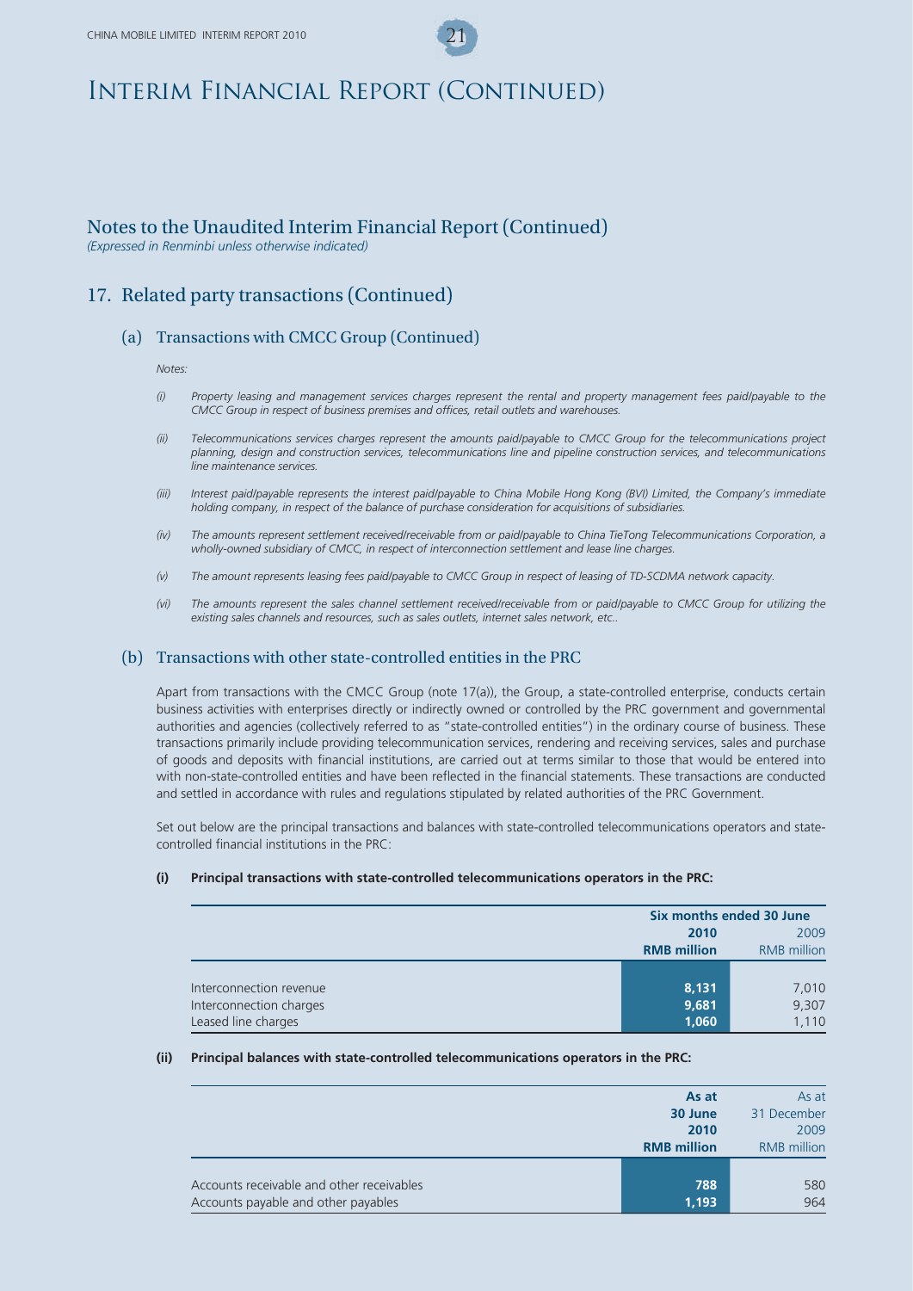### Notes to the Unaudited Interim Financial Report (Continued)

*(Expressed in Renminbi unless otherwise indicated)*

### 17. Related party transactions (Continued)

### (a) Transactions with CMCC Group (Continued)

*Notes:*

- *(i) Property leasing and management services charges represent the rental and property management fees paid/payable to the CMCC Group in respect of business premises and offices, retail outlets and warehouses.*
- *(ii) Telecommunications services charges represent the amounts paid/payable to CMCC Group for the telecommunications project planning, design and construction services, telecommunications line and pipeline construction services, and telecommunications line maintenance services.*
- *(iii) Interest paid/payable represents the interest paid/payable to China Mobile Hong Kong (BVI) Limited, the Company's immediate holding company, in respect of the balance of purchase consideration for acquisitions of subsidiaries.*
- *(iv) The amounts represent settlement received/receivable from or paid/payable to China TieTong Telecommunications Corporation, a wholly-owned subsidiary of CMCC, in respect of interconnection settlement and lease line charges.*
- *(v) The amount represents leasing fees paid/payable to CMCC Group in respect of leasing of TD-SCDMA network capacity.*
- *(vi) The amounts represent the sales channel settlement received/receivable from or paid/payable to CMCC Group for utilizing the existing sales channels and resources, such as sales outlets, internet sales network, etc..*

#### (b) Transactions with other state-controlled entities in the PRC

Apart from transactions with the CMCC Group (note 17(a)), the Group, a state-controlled enterprise, conducts certain business activities with enterprises directly or indirectly owned or controlled by the PRC government and governmental authorities and agencies (collectively referred to as "state-controlled entities") in the ordinary course of business. These transactions primarily include providing telecommunication services, rendering and receiving services, sales and purchase of goods and deposits with financial institutions, are carried out at terms similar to those that would be entered into with non-state-controlled entities and have been reflected in the financial statements. These transactions are conducted and settled in accordance with rules and regulations stipulated by related authorities of the PRC Government.

Set out below are the principal transactions and balances with state-controlled telecommunications operators and statecontrolled financial institutions in the PRC:

#### **(i) Principal transactions with state-controlled telecommunications operators in the PRC:**

|                         | Six months ended 30 June |                    |
|-------------------------|--------------------------|--------------------|
|                         | 2009<br>2010             |                    |
|                         | <b>RMB million</b>       | <b>RMB</b> million |
|                         |                          |                    |
| Interconnection revenue | 8,131                    | 7,010              |
| Interconnection charges | 9,681                    | 9,307              |
| Leased line charges     | 1,060                    | 1,110              |

#### **(ii) Principal balances with state-controlled telecommunications operators in the PRC:**

|                                           | As at              | As at              |
|-------------------------------------------|--------------------|--------------------|
|                                           | 30 June            | 31 December        |
|                                           | 2010               | 2009               |
|                                           | <b>RMB</b> million | <b>RMB</b> million |
|                                           |                    |                    |
| Accounts receivable and other receivables | 788                | 580                |
| Accounts payable and other payables       | 1,193              | 964                |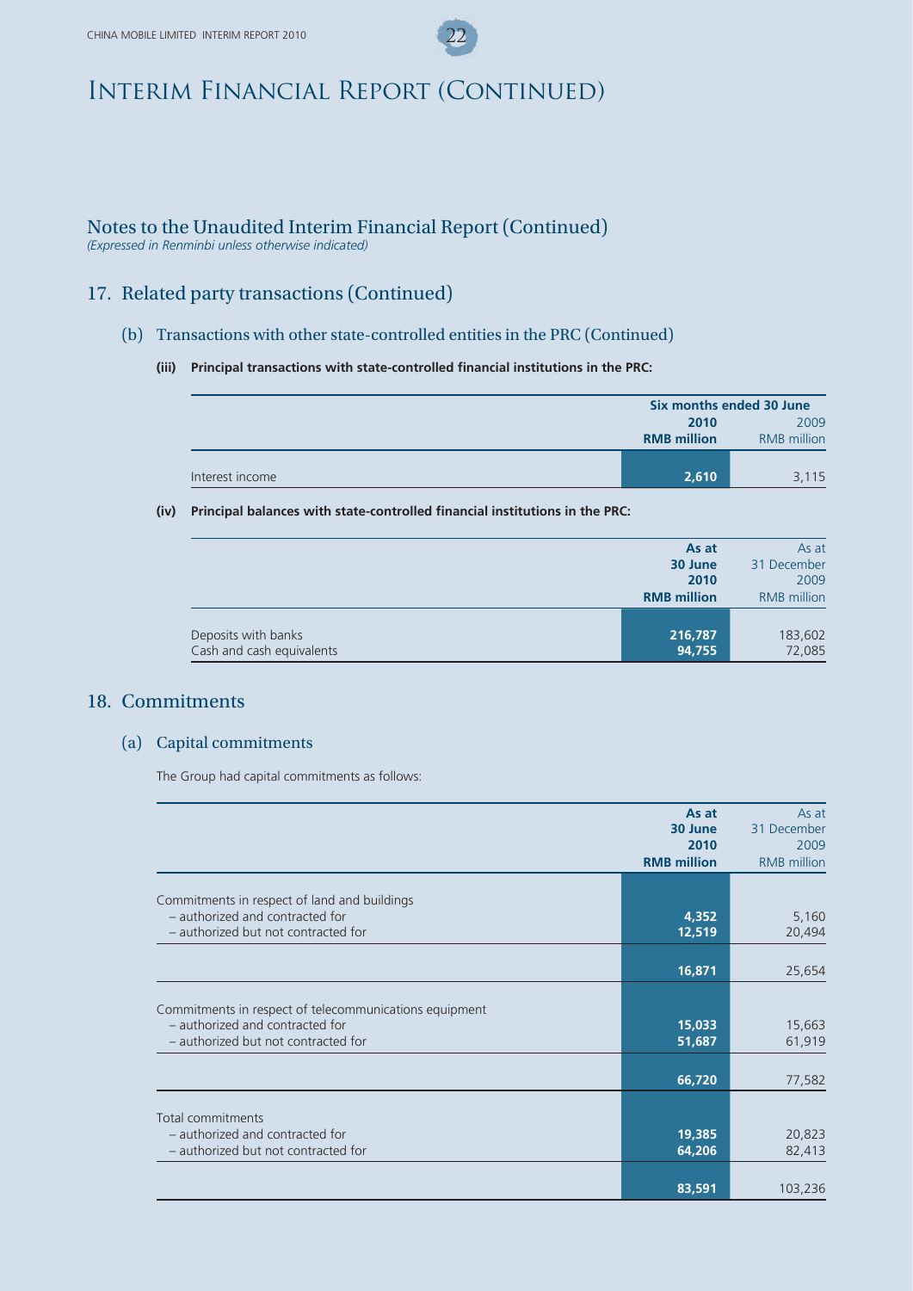## Notes to the Unaudited Interim Financial Report (Continued)

*(Expressed in Renminbi unless otherwise indicated)*

## 17. Related party transactions (Continued)

#### (b) Transactions with other state-controlled entities in the PRC (Continued)

#### **(iii) Principal transactions with state-controlled financial institutions in the PRC:**

|                 | Six months ended 30 June |                    |
|-----------------|--------------------------|--------------------|
|                 | 2009<br>2010             |                    |
|                 | <b>RMB</b> million       | <b>RMB</b> million |
|                 |                          |                    |
| Interest income | 2,610                    | 3,115              |

#### **(iv) Principal balances with state-controlled financial institutions in the PRC:**

|                           | As at              | As at              |
|---------------------------|--------------------|--------------------|
|                           | 30 June            | 31 December        |
|                           | 2010               | 2009               |
|                           | <b>RMB</b> million | <b>RMB</b> million |
|                           |                    |                    |
| Deposits with banks       | 216,787            | 183,602            |
| Cash and cash equivalents | 94,755             | 72,085             |

### 18. Commitments

#### (a) Capital commitments

The Group had capital commitments as follows:

|                                                        | As at              | As at              |
|--------------------------------------------------------|--------------------|--------------------|
|                                                        | 30 June            | 31 December        |
|                                                        | 2010               | 2009               |
|                                                        | <b>RMB million</b> | <b>RMB</b> million |
|                                                        |                    |                    |
| Commitments in respect of land and buildings           |                    |                    |
| - authorized and contracted for                        | 4,352              | 5,160              |
| - authorized but not contracted for                    | 12,519             | 20,494             |
|                                                        |                    |                    |
|                                                        | 16,871             | 25,654             |
|                                                        |                    |                    |
| Commitments in respect of telecommunications equipment |                    |                    |
| - authorized and contracted for                        | 15,033             | 15,663             |
| - authorized but not contracted for                    | 51,687             | 61,919             |
|                                                        |                    |                    |
|                                                        | 66,720             | 77,582             |
|                                                        |                    |                    |
| Total commitments                                      |                    |                    |
| - authorized and contracted for                        | 19,385             | 20,823             |
| - authorized but not contracted for                    | 64,206             | 82,413             |
|                                                        |                    |                    |
|                                                        | 83,591             | 103,236            |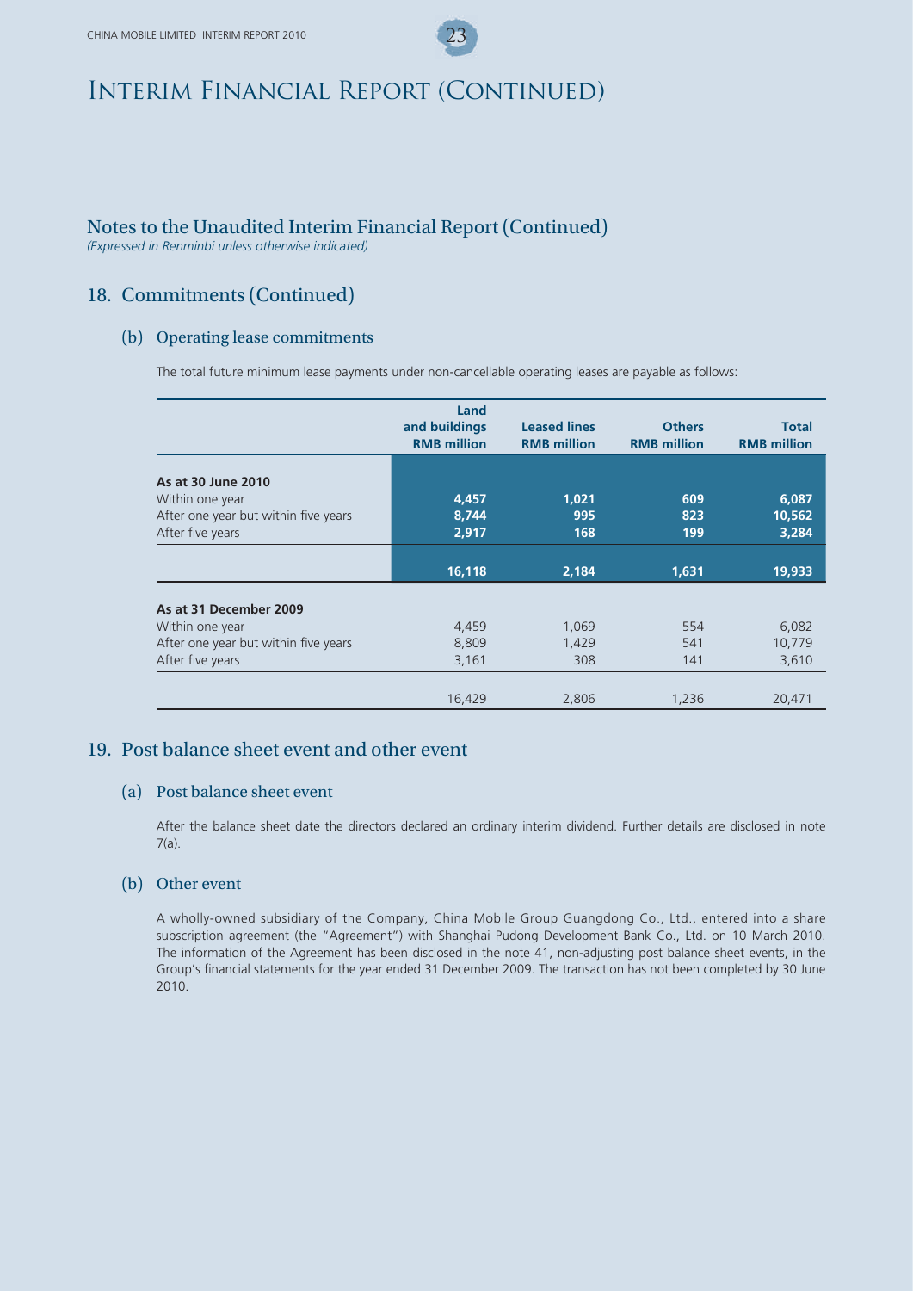## Notes to the Unaudited Interim Financial Report (Continued)

*(Expressed in Renminbi unless otherwise indicated)*

## 18. Commitments (Continued)

#### (b) Operating lease commitments

The total future minimum lease payments under non-cancellable operating leases are payable as follows:

|                                      | Land<br>and buildings<br><b>RMB million</b> | <b>Leased lines</b><br><b>RMB million</b> | <b>Others</b><br><b>RMB million</b> | <b>Total</b><br><b>RMB</b> million |
|--------------------------------------|---------------------------------------------|-------------------------------------------|-------------------------------------|------------------------------------|
| As at 30 June 2010                   |                                             |                                           |                                     |                                    |
| Within one year                      | 4,457                                       | 1,021                                     | 609                                 | 6,087                              |
| After one year but within five years | 8,744                                       | 995                                       | 823                                 | 10,562                             |
| After five years                     | 2,917                                       | 168                                       | 199                                 | 3,284                              |
|                                      |                                             |                                           |                                     |                                    |
|                                      | 16,118                                      | 2,184                                     | 1,631                               | 19,933                             |
| As at 31 December 2009               |                                             |                                           |                                     |                                    |
| Within one year                      | 4,459                                       | 1,069                                     | 554                                 | 6,082                              |
| After one year but within five years | 8,809                                       | 1,429                                     | 541                                 | 10,779                             |
| After five years                     | 3,161                                       | 308                                       | 141                                 | 3,610                              |
|                                      |                                             |                                           |                                     |                                    |
|                                      | 16,429                                      | 2,806                                     | 1,236                               | 20,471                             |

### 19. Post balance sheet event and other event

#### (a) Post balance sheet event

After the balance sheet date the directors declared an ordinary interim dividend. Further details are disclosed in note 7(a).

#### (b) Other event

A wholly-owned subsidiary of the Company, China Mobile Group Guangdong Co., Ltd., entered into a share subscription agreement (the "Agreement") with Shanghai Pudong Development Bank Co., Ltd. on 10 March 2010. The information of the Agreement has been disclosed in the note 41, non-adjusting post balance sheet events, in the Group's financial statements for the year ended 31 December 2009. The transaction has not been completed by 30 June 2010.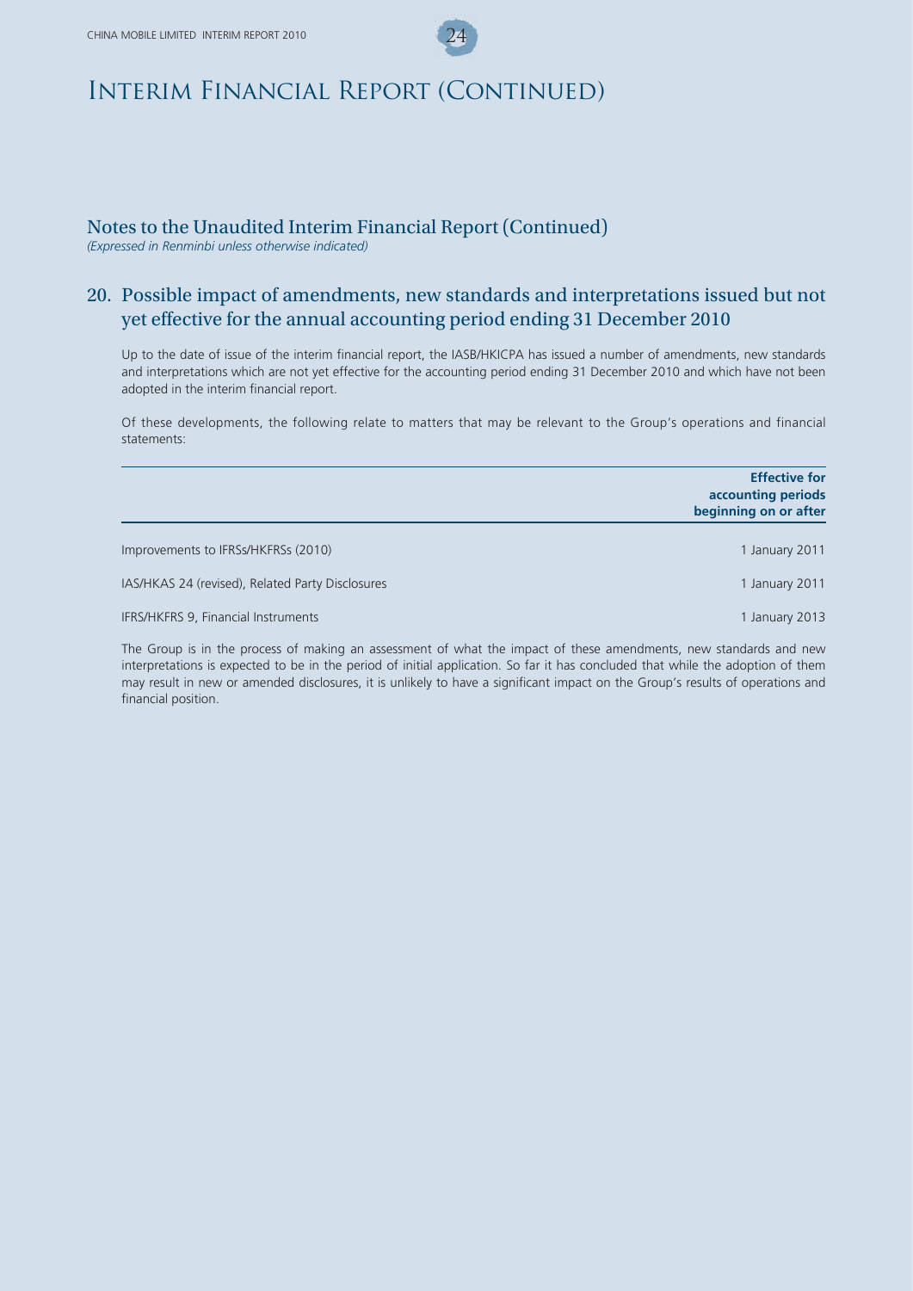## Notes to the Unaudited Interim Financial Report (Continued)

*(Expressed in Renminbi unless otherwise indicated)*

## 20. Possible impact of amendments, new standards and interpretations issued but not yet effective for the annual accounting period ending 31 December 2010

Up to the date of issue of the interim financial report, the IASB/HKICPA has issued a number of amendments, new standards and interpretations which are not yet effective for the accounting period ending 31 December 2010 and which have not been adopted in the interim financial report.

Of these developments, the following relate to matters that may be relevant to the Group's operations and financial statements:

|                                                  | <b>Effective for</b><br>accounting periods<br>beginning on or after |
|--------------------------------------------------|---------------------------------------------------------------------|
| Improvements to IFRSs/HKFRSs (2010)              | 1 January 2011                                                      |
| IAS/HKAS 24 (revised), Related Party Disclosures | 1 January 2011                                                      |
| IFRS/HKFRS 9, Financial Instruments              | 1 January 2013                                                      |

The Group is in the process of making an assessment of what the impact of these amendments, new standards and new interpretations is expected to be in the period of initial application. So far it has concluded that while the adoption of them may result in new or amended disclosures, it is unlikely to have a significant impact on the Group's results of operations and financial position.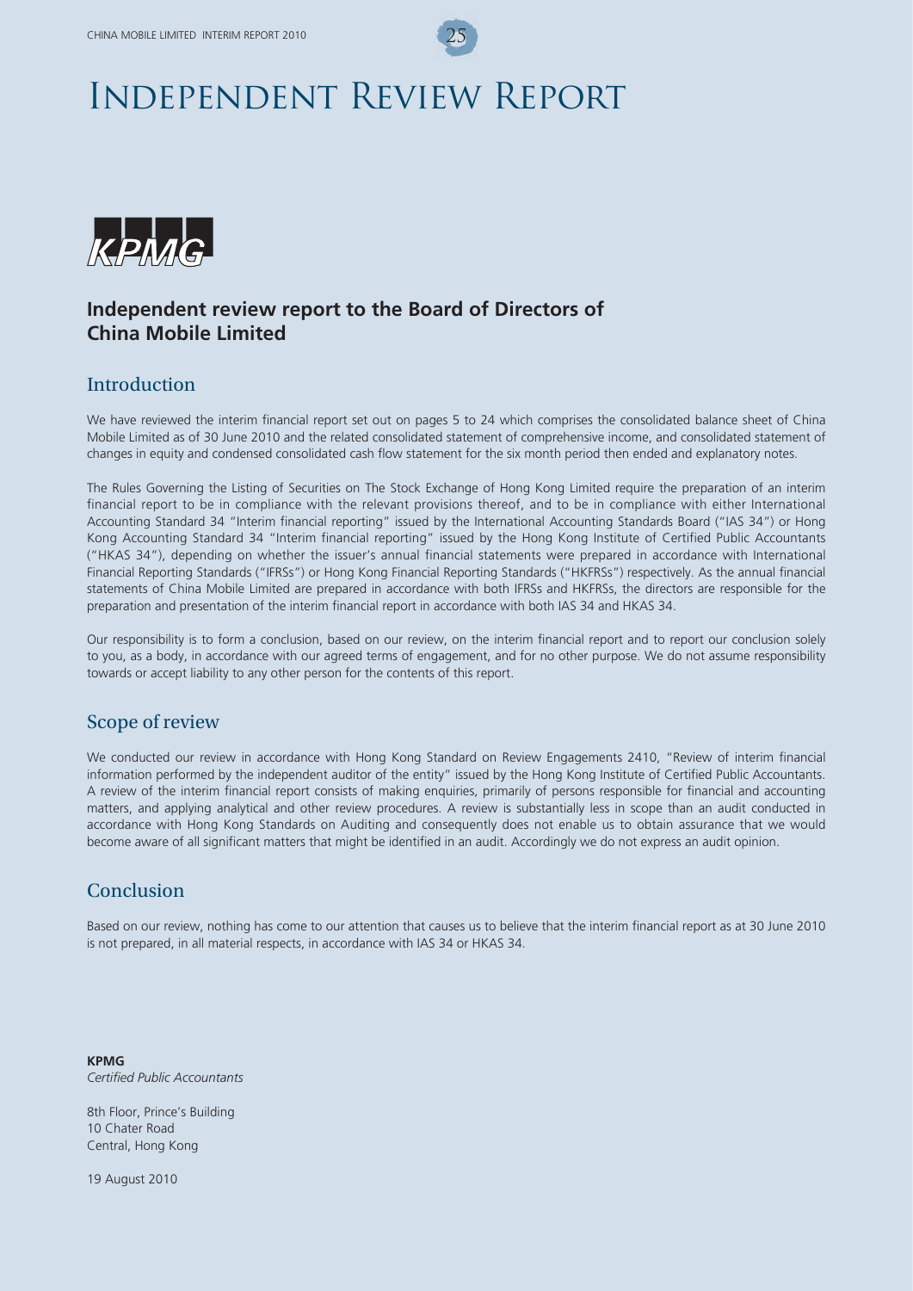# Independent Review Report



## **Independent review report to the Board of Directors of China Mobile Limited**

### **Introduction**

We have reviewed the interim financial report set out on pages 5 to 24 which comprises the consolidated balance sheet of China Mobile Limited as of 30 June 2010 and the related consolidated statement of comprehensive income, and consolidated statement of changes in equity and condensed consolidated cash flow statement for the six month period then ended and explanatory notes.

The Rules Governing the Listing of Securities on The Stock Exchange of Hong Kong Limited require the preparation of an interim financial report to be in compliance with the relevant provisions thereof, and to be in compliance with either International Accounting Standard 34 "Interim financial reporting" issued by the International Accounting Standards Board ("IAS 34") or Hong Kong Accounting Standard 34 "Interim financial reporting" issued by the Hong Kong Institute of Certified Public Accountants ("HKAS 34"), depending on whether the issuer's annual financial statements were prepared in accordance with International Financial Reporting Standards ("IFRSs") or Hong Kong Financial Reporting Standards ("HKFRSs") respectively. As the annual financial statements of China Mobile Limited are prepared in accordance with both IFRSs and HKFRSs, the directors are responsible for the preparation and presentation of the interim financial report in accordance with both IAS 34 and HKAS 34.

Our responsibility is to form a conclusion, based on our review, on the interim financial report and to report our conclusion solely to you, as a body, in accordance with our agreed terms of engagement, and for no other purpose. We do not assume responsibility towards or accept liability to any other person for the contents of this report.

### Scope of review

We conducted our review in accordance with Hong Kong Standard on Review Engagements 2410, "Review of interim financial information performed by the independent auditor of the entity" issued by the Hong Kong Institute of Certified Public Accountants. A review of the interim financial report consists of making enquiries, primarily of persons responsible for financial and accounting matters, and applying analytical and other review procedures. A review is substantially less in scope than an audit conducted in accordance with Hong Kong Standards on Auditing and consequently does not enable us to obtain assurance that we would become aware of all significant matters that might be identified in an audit. Accordingly we do not express an audit opinion.

## Conclusion

Based on our review, nothing has come to our attention that causes us to believe that the interim financial report as at 30 June 2010 is not prepared, in all material respects, in accordance with IAS 34 or HKAS 34.

**KPMG** *Certified Public Accountants*

8th Floor, Prince's Building 10 Chater Road Central, Hong Kong

19 August 2010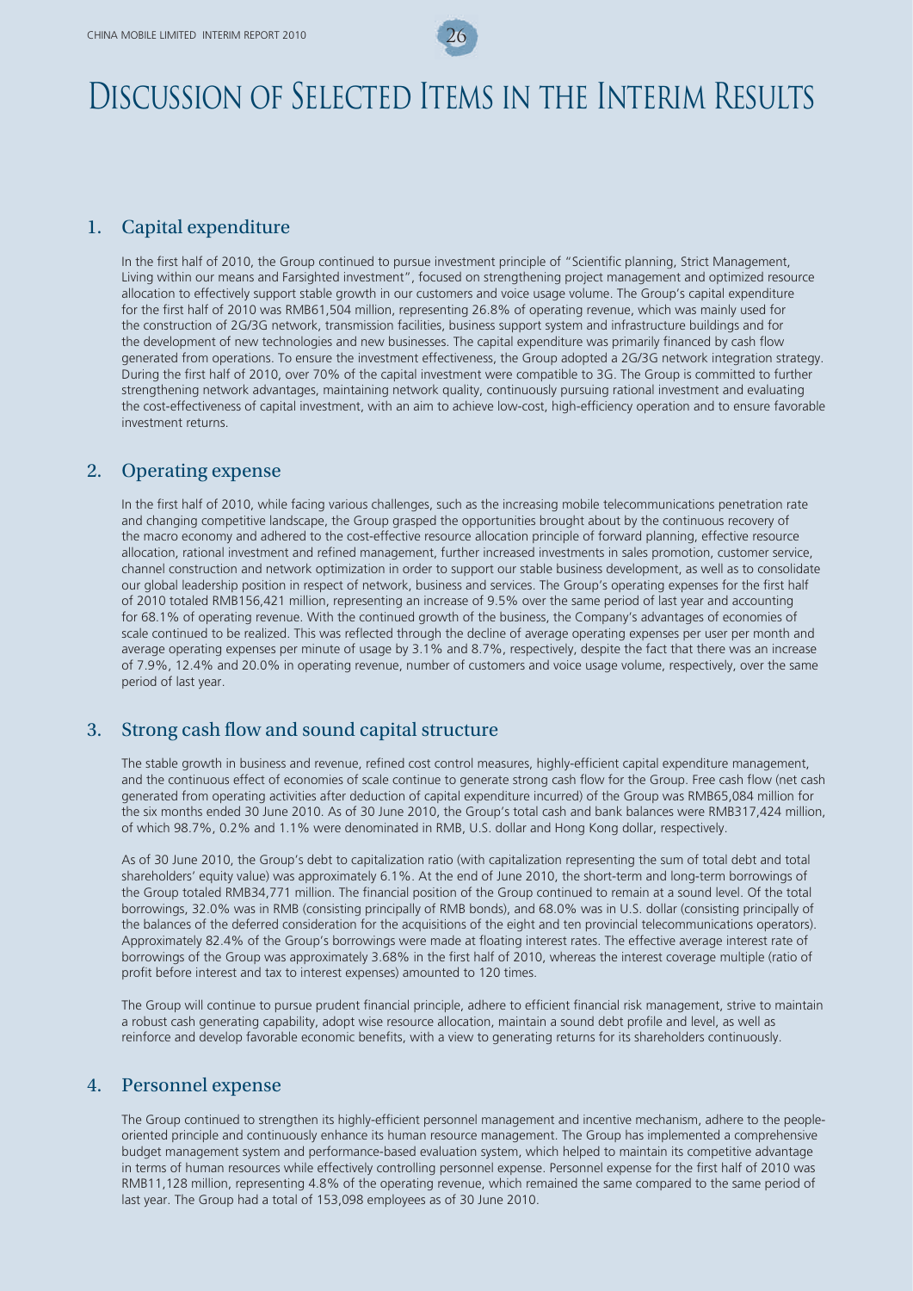# Discussion of Selected Items in the Interim Results

### 1. Capital expenditure

In the first half of 2010, the Group continued to pursue investment principle of "Scientific planning, Strict Management, Living within our means and Farsighted investment", focused on strengthening project management and optimized resource allocation to effectively support stable growth in our customers and voice usage volume. The Group's capital expenditure for the first half of 2010 was RMB61,504 million, representing 26.8% of operating revenue, which was mainly used for the construction of 2G/3G network, transmission facilities, business support system and infrastructure buildings and for the development of new technologies and new businesses. The capital expenditure was primarily financed by cash flow generated from operations. To ensure the investment effectiveness, the Group adopted a 2G/3G network integration strategy. During the first half of 2010, over 70% of the capital investment were compatible to 3G. The Group is committed to further strengthening network advantages, maintaining network quality, continuously pursuing rational investment and evaluating the cost-effectiveness of capital investment, with an aim to achieve low-cost, high-efficiency operation and to ensure favorable investment returns.

### 2. Operating expense

In the first half of 2010, while facing various challenges, such as the increasing mobile telecommunications penetration rate and changing competitive landscape, the Group grasped the opportunities brought about by the continuous recovery of the macro economy and adhered to the cost-effective resource allocation principle of forward planning, effective resource allocation, rational investment and refined management, further increased investments in sales promotion, customer service, channel construction and network optimization in order to support our stable business development, as well as to consolidate our global leadership position in respect of network, business and services. The Group's operating expenses for the first half of 2010 totaled RMB156,421 million, representing an increase of 9.5% over the same period of last year and accounting for 68.1% of operating revenue. With the continued growth of the business, the Company's advantages of economies of scale continued to be realized. This was reflected through the decline of average operating expenses per user per month and average operating expenses per minute of usage by 3.1% and 8.7%, respectively, despite the fact that there was an increase of 7.9%, 12.4% and 20.0% in operating revenue, number of customers and voice usage volume, respectively, over the same period of last year.

### 3. Strong cash flow and sound capital structure

The stable growth in business and revenue, refined cost control measures, highly-efficient capital expenditure management, and the continuous effect of economies of scale continue to generate strong cash flow for the Group. Free cash flow (net cash generated from operating activities after deduction of capital expenditure incurred) of the Group was RMB65,084 million for the six months ended 30 June 2010. As of 30 June 2010, the Group's total cash and bank balances were RMB317,424 million, of which 98.7%, 0.2% and 1.1% were denominated in RMB, U.S. dollar and Hong Kong dollar, respectively.

As of 30 June 2010, the Group's debt to capitalization ratio (with capitalization representing the sum of total debt and total shareholders' equity value) was approximately 6.1%. At the end of June 2010, the short-term and long-term borrowings of the Group totaled RMB34,771 million. The financial position of the Group continued to remain at a sound level. Of the total borrowings, 32.0% was in RMB (consisting principally of RMB bonds), and 68.0% was in U.S. dollar (consisting principally of the balances of the deferred consideration for the acquisitions of the eight and ten provincial telecommunications operators). Approximately 82.4% of the Group's borrowings were made at floating interest rates. The effective average interest rate of borrowings of the Group was approximately 3.68% in the first half of 2010, whereas the interest coverage multiple (ratio of profit before interest and tax to interest expenses) amounted to 120 times.

The Group will continue to pursue prudent financial principle, adhere to efficient financial risk management, strive to maintain a robust cash generating capability, adopt wise resource allocation, maintain a sound debt profile and level, as well as reinforce and develop favorable economic benefits, with a view to generating returns for its shareholders continuously.

### 4. Personnel expense

The Group continued to strengthen its highly-efficient personnel management and incentive mechanism, adhere to the peopleoriented principle and continuously enhance its human resource management. The Group has implemented a comprehensive budget management system and performance-based evaluation system, which helped to maintain its competitive advantage in terms of human resources while effectively controlling personnel expense. Personnel expense for the first half of 2010 was RMB11,128 million, representing 4.8% of the operating revenue, which remained the same compared to the same period of last year. The Group had a total of 153,098 employees as of 30 June 2010.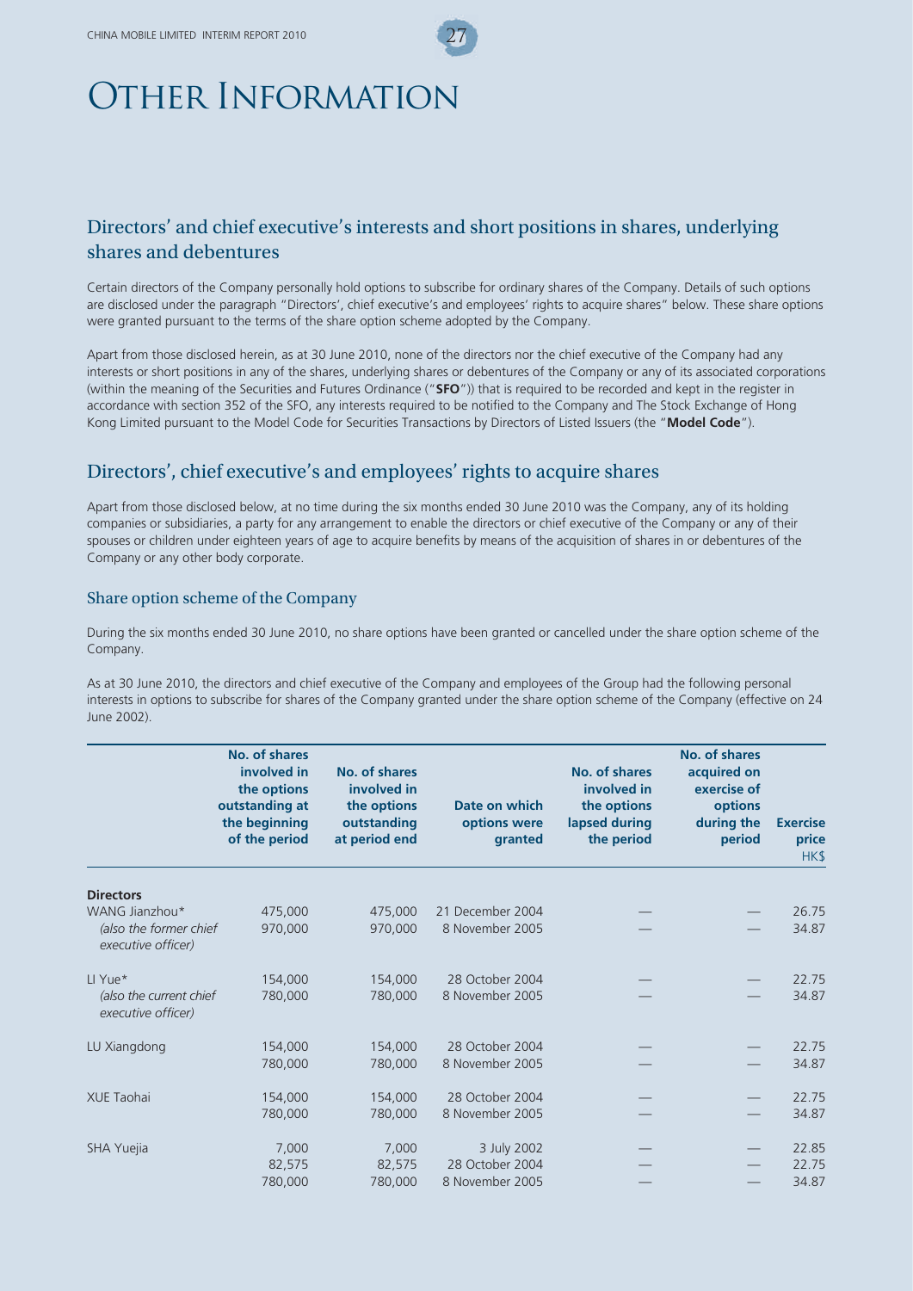# Other Information

## Directors' and chief executive's interests and short positions in shares, underlying shares and debentures

Certain directors of the Company personally hold options to subscribe for ordinary shares of the Company. Details of such options are disclosed under the paragraph "Directors', chief executive's and employees' rights to acquire shares" below. These share options were granted pursuant to the terms of the share option scheme adopted by the Company.

Apart from those disclosed herein, as at 30 June 2010, none of the directors nor the chief executive of the Company had any interests or short positions in any of the shares, underlying shares or debentures of the Company or any of its associated corporations (within the meaning of the Securities and Futures Ordinance ("**SFO**")) that is required to be recorded and kept in the register in accordance with section 352 of the SFO, any interests required to be notified to the Company and The Stock Exchange of Hong Kong Limited pursuant to the Model Code for Securities Transactions by Directors of Listed Issuers (the "**Model Code**").

## Directors', chief executive's and employees' rights to acquire shares

Apart from those disclosed below, at no time during the six months ended 30 June 2010 was the Company, any of its holding companies or subsidiaries, a party for any arrangement to enable the directors or chief executive of the Company or any of their spouses or children under eighteen years of age to acquire benefits by means of the acquisition of shares in or debentures of the Company or any other body corporate.

#### Share option scheme of the Company

During the six months ended 30 June 2010, no share options have been granted or cancelled under the share option scheme of the Company.

As at 30 June 2010, the directors and chief executive of the Company and employees of the Group had the following personal interests in options to subscribe for shares of the Company granted under the share option scheme of the Company (effective on 24 June 2002).

|                                               | No. of shares<br>involved in<br>the options<br>outstanding at<br>the beginning<br>of the period | No. of shares<br>involved in<br>the options<br>outstanding<br>at period end | Date on which<br>options were<br>granted | No. of shares<br>involved in<br>the options<br>lapsed during<br>the period | No. of shares<br>acquired on<br>exercise of<br>options<br>during the<br>period | <b>Exercise</b><br>price<br>HK\$ |
|-----------------------------------------------|-------------------------------------------------------------------------------------------------|-----------------------------------------------------------------------------|------------------------------------------|----------------------------------------------------------------------------|--------------------------------------------------------------------------------|----------------------------------|
| <b>Directors</b>                              |                                                                                                 |                                                                             |                                          |                                                                            |                                                                                |                                  |
| WANG Jianzhou*                                | 475,000                                                                                         | 475,000                                                                     | 21 December 2004                         |                                                                            |                                                                                | 26.75                            |
| (also the former chief<br>executive officer)  | 970,000                                                                                         | 970,000                                                                     | 8 November 2005                          |                                                                            |                                                                                | 34.87                            |
| LI Yue*                                       | 154,000                                                                                         | 154,000                                                                     | 28 October 2004                          |                                                                            |                                                                                | 22.75                            |
| (also the current chief<br>executive officer) | 780,000                                                                                         | 780,000                                                                     | 8 November 2005                          |                                                                            |                                                                                | 34.87                            |
| LU Xiangdong                                  | 154,000                                                                                         | 154,000                                                                     | 28 October 2004                          |                                                                            |                                                                                | 22.75                            |
|                                               | 780,000                                                                                         | 780,000                                                                     | 8 November 2005                          |                                                                            |                                                                                | 34.87                            |
| <b>XUE Taohai</b>                             | 154,000                                                                                         | 154,000                                                                     | 28 October 2004                          |                                                                            |                                                                                | 22.75                            |
|                                               | 780,000                                                                                         | 780,000                                                                     | 8 November 2005                          |                                                                            |                                                                                | 34.87                            |
| SHA Yuejia                                    | 7,000                                                                                           | 7,000                                                                       | 3 July 2002                              |                                                                            |                                                                                | 22.85                            |
|                                               | 82,575                                                                                          | 82,575                                                                      | 28 October 2004                          |                                                                            |                                                                                | 22.75                            |
|                                               | 780,000                                                                                         | 780,000                                                                     | 8 November 2005                          |                                                                            |                                                                                | 34.87                            |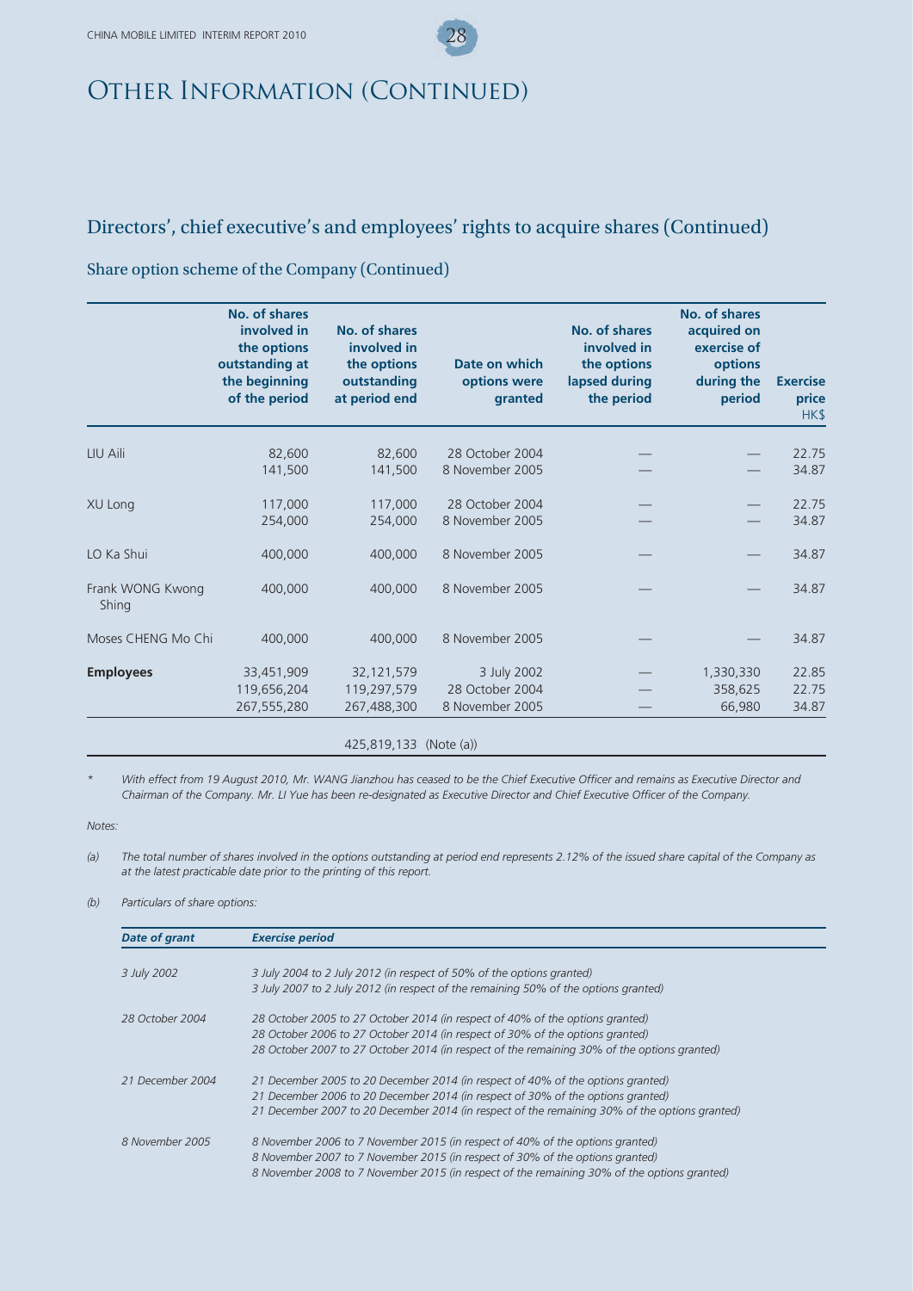## Directors', chief executive's and employees' rights to acquire shares (Continued)

### Share option scheme of the Company (Continued)

|                           | No. of shares<br>involved in<br>the options<br>outstanding at<br>the beginning<br>of the period | No. of shares<br>involved in<br>the options<br>outstanding<br>at period end | Date on which<br>options were<br>granted | <b>No. of shares</b><br>involved in<br>the options<br>lapsed during<br>the period | No. of shares<br>acquired on<br>exercise of<br>options<br>during the<br>period | <b>Exercise</b><br>price<br>HK\$ |
|---------------------------|-------------------------------------------------------------------------------------------------|-----------------------------------------------------------------------------|------------------------------------------|-----------------------------------------------------------------------------------|--------------------------------------------------------------------------------|----------------------------------|
| LIU Aili                  | 82,600                                                                                          | 82,600                                                                      | 28 October 2004                          |                                                                                   |                                                                                | 22.75                            |
|                           | 141,500                                                                                         | 141,500                                                                     | 8 November 2005                          |                                                                                   |                                                                                | 34.87                            |
| XU Long                   | 117,000                                                                                         | 117,000                                                                     | 28 October 2004                          |                                                                                   |                                                                                | 22.75                            |
|                           | 254,000                                                                                         | 254,000                                                                     | 8 November 2005                          |                                                                                   |                                                                                | 34.87                            |
| LO Ka Shui                | 400,000                                                                                         | 400,000                                                                     | 8 November 2005                          |                                                                                   |                                                                                | 34.87                            |
| Frank WONG Kwong<br>Shing | 400,000                                                                                         | 400,000                                                                     | 8 November 2005                          |                                                                                   |                                                                                | 34.87                            |
| Moses CHENG Mo Chi        | 400,000                                                                                         | 400,000                                                                     | 8 November 2005                          |                                                                                   |                                                                                | 34.87                            |
| <b>Employees</b>          | 33,451,909                                                                                      | 32,121,579                                                                  | 3 July 2002                              |                                                                                   | 1,330,330                                                                      | 22.85                            |
|                           | 119,656,204                                                                                     | 119,297,579                                                                 | 28 October 2004                          |                                                                                   | 358,625                                                                        | 22.75                            |
|                           | 267,555,280                                                                                     | 267,488,300                                                                 | 8 November 2005                          |                                                                                   | 66,980                                                                         | 34.87                            |

425,819,133 (Note (a))

With effect from 19 August 2010, Mr. WANG Jianzhou has ceased to be the Chief Executive Officer and remains as Executive Director and *Chairman of the Company. Mr. LI Yue has been re-designated as Executive Director and Chief Executive Officer of the Company.*

*Notes:*

*(a) The total number of shares involved in the options outstanding at period end represents 2.12% of the issued share capital of the Company as at the latest practicable date prior to the printing of this report.*

*(b) Particulars of share options:*

| <b>Date of grant</b> | <b>Exercise period</b>                                                                        |
|----------------------|-----------------------------------------------------------------------------------------------|
|                      |                                                                                               |
| 3 July 2002          | 3 July 2004 to 2 July 2012 (in respect of 50% of the options granted)                         |
|                      | 3 July 2007 to 2 July 2012 (in respect of the remaining 50% of the options granted)           |
| 28 October 2004      | 28 October 2005 to 27 October 2014 (in respect of 40% of the options granted)                 |
|                      | 28 October 2006 to 27 October 2014 (in respect of 30% of the options granted)                 |
|                      | 28 October 2007 to 27 October 2014 (in respect of the remaining 30% of the options granted)   |
| 21 December 2004     | 21 December 2005 to 20 December 2014 (in respect of 40% of the options granted)               |
|                      | 21 December 2006 to 20 December 2014 (in respect of 30% of the options granted)               |
|                      | 21 December 2007 to 20 December 2014 (in respect of the remaining 30% of the options granted) |
| 8 November 2005      | 8 November 2006 to 7 November 2015 (in respect of 40% of the options granted)                 |
|                      | 8 November 2007 to 7 November 2015 (in respect of 30% of the options granted)                 |
|                      | 8 November 2008 to 7 November 2015 (in respect of the remaining 30% of the options granted)   |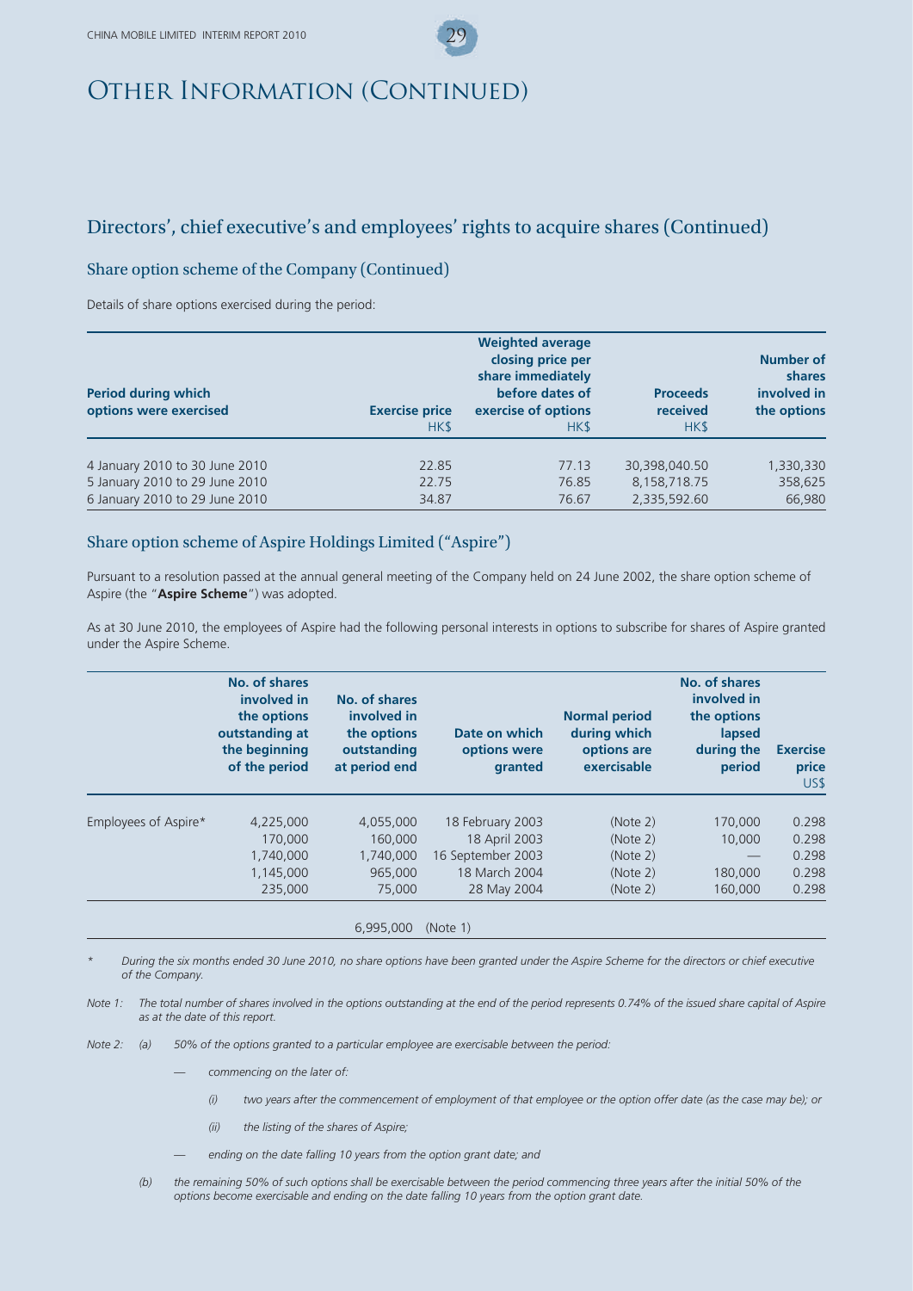## Directors', chief executive's and employees' rights to acquire shares (Continued)

### Share option scheme of the Company (Continued)

Details of share options exercised during the period:

| <b>Period during which</b><br>options were exercised | <b>Exercise price</b><br>HK\$ | <b>Weighted average</b><br>closing price per<br>share immediately<br>before dates of<br>exercise of options<br>HK\$ | <b>Proceeds</b><br>received<br>HK\$ | Number of<br>shares<br>involved in<br>the options |
|------------------------------------------------------|-------------------------------|---------------------------------------------------------------------------------------------------------------------|-------------------------------------|---------------------------------------------------|
| 4 January 2010 to 30 June 2010                       | 22.85                         | 77.13                                                                                                               | 30,398,040.50                       | 1,330,330                                         |
| 5 January 2010 to 29 June 2010                       | 22.75                         | 76.85                                                                                                               | 8,158,718.75                        | 358,625                                           |
| 6 January 2010 to 29 June 2010                       | 34.87                         | 76.67                                                                                                               | 2,335,592.60                        | 66,980                                            |

#### Share option scheme of Aspire Holdings Limited ("Aspire")

Pursuant to a resolution passed at the annual general meeting of the Company held on 24 June 2002, the share option scheme of Aspire (the "**Aspire Scheme**") was adopted.

As at 30 June 2010, the employees of Aspire had the following personal interests in options to subscribe for shares of Aspire granted under the Aspire Scheme.

|                      | No. of shares<br>involved in<br>the options<br>outstanding at<br>the beginning<br>of the period | No. of shares<br>involved in<br>the options<br>outstanding<br>at period end | Date on which<br>options were<br>granted | <b>Normal period</b><br>during which<br>options are<br>exercisable | No. of shares<br>involved in<br>the options<br>lapsed<br>during the<br>period | <b>Exercise</b><br>price<br>US\$ |
|----------------------|-------------------------------------------------------------------------------------------------|-----------------------------------------------------------------------------|------------------------------------------|--------------------------------------------------------------------|-------------------------------------------------------------------------------|----------------------------------|
| Employees of Aspire* | 4,225,000                                                                                       | 4,055,000                                                                   | 18 February 2003                         | (Note 2)                                                           | 170,000                                                                       | 0.298                            |
|                      | 170,000                                                                                         | 160,000                                                                     | 18 April 2003                            | (Note 2)                                                           | 10,000                                                                        | 0.298                            |
|                      | 1,740,000                                                                                       | 1,740,000                                                                   | 16 September 2003                        | (Note 2)                                                           |                                                                               | 0.298                            |
|                      | 1,145,000                                                                                       | 965,000                                                                     | 18 March 2004                            | (Note 2)                                                           | 180,000                                                                       | 0.298                            |
|                      | 235,000                                                                                         | 75,000                                                                      | 28 May 2004                              | (Note 2)                                                           | 160,000                                                                       | 0.298                            |

*\* During the six months ended 30 June 2010, no share options have been granted under the Aspire Scheme for the directors or chief executive of the Company.*

*Note 1: The total number of shares involved in the options outstanding at the end of the period represents 0.74% of the issued share capital of Aspire as at the date of this report.*

*Note 2: (a) 50% of the options granted to a particular employee are exercisable between the period:*

- commencing on the later of:
	- *(i) two years after the commencement of employment of that employee or the option offer date (as the case may be); or*
	- *(ii) the listing of the shares of Aspire;*
- ending on the date falling 10 years from the option grant date; and
- *(b) the remaining 50% of such options shall be exercisable between the period commencing three years after the initial 50% of the options become exercisable and ending on the date falling 10 years from the option grant date.*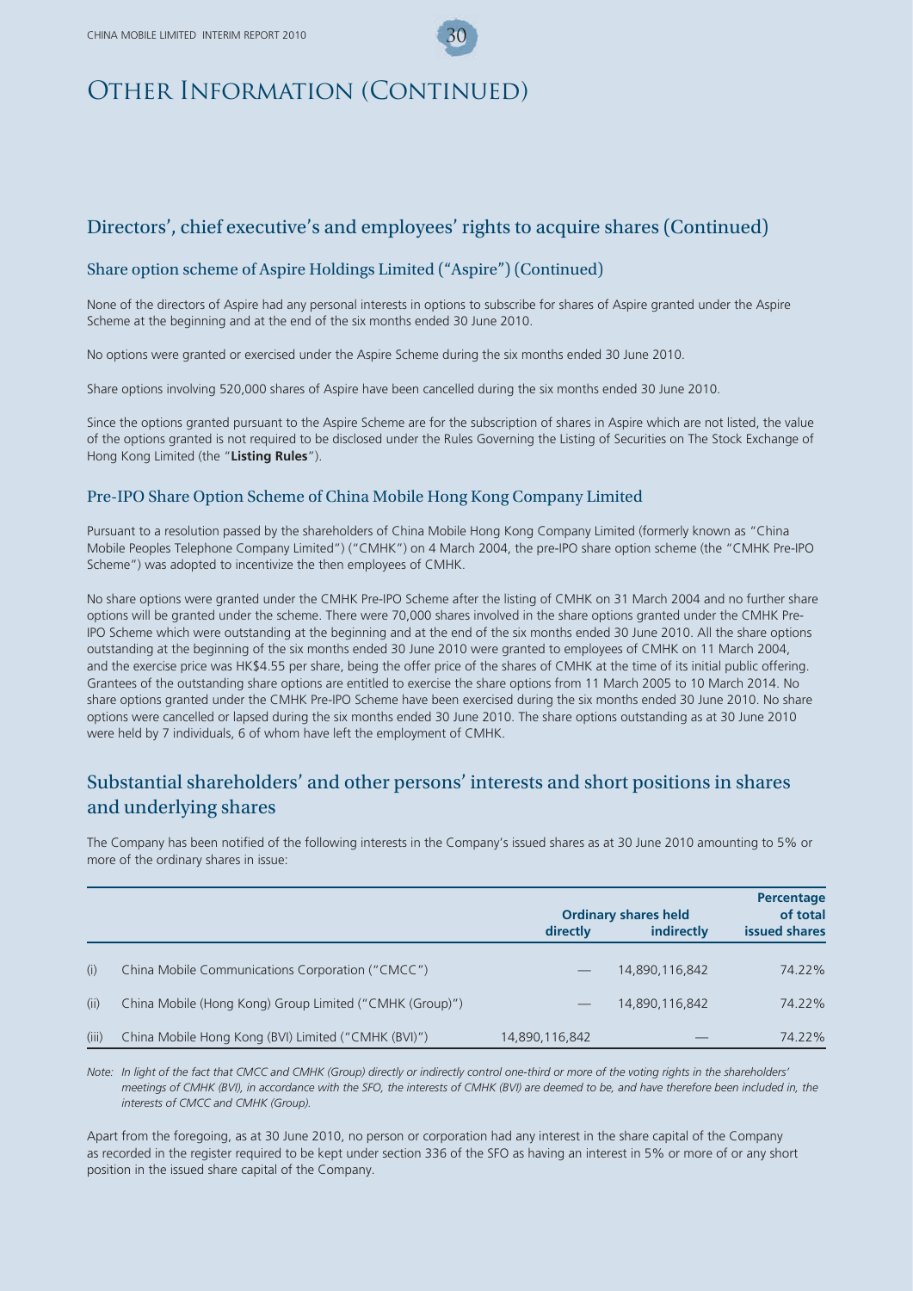## Directors', chief executive's and employees' rights to acquire shares (Continued)

### Share option scheme of Aspire Holdings Limited ("Aspire") (Continued)

None of the directors of Aspire had any personal interests in options to subscribe for shares of Aspire granted under the Aspire Scheme at the beginning and at the end of the six months ended 30 June 2010.

No options were granted or exercised under the Aspire Scheme during the six months ended 30 June 2010.

Share options involving 520,000 shares of Aspire have been cancelled during the six months ended 30 June 2010.

Since the options granted pursuant to the Aspire Scheme are for the subscription of shares in Aspire which are not listed, the value of the options granted is not required to be disclosed under the Rules Governing the Listing of Securities on The Stock Exchange of Hong Kong Limited (the "**Listing Rules**").

#### Pre-IPO Share Option Scheme of China Mobile Hong Kong Company Limited

Pursuant to a resolution passed by the shareholders of China Mobile Hong Kong Company Limited (formerly known as "China Mobile Peoples Telephone Company Limited") ("CMHK") on 4 March 2004, the pre-IPO share option scheme (the "CMHK Pre-IPO Scheme") was adopted to incentivize the then employees of CMHK.

No share options were granted under the CMHK Pre-IPO Scheme after the listing of CMHK on 31 March 2004 and no further share options will be granted under the scheme. There were 70,000 shares involved in the share options granted under the CMHK Pre-IPO Scheme which were outstanding at the beginning and at the end of the six months ended 30 June 2010. All the share options outstanding at the beginning of the six months ended 30 June 2010 were granted to employees of CMHK on 11 March 2004, and the exercise price was HK\$4.55 per share, being the offer price of the shares of CMHK at the time of its initial public offering. Grantees of the outstanding share options are entitled to exercise the share options from 11 March 2005 to 10 March 2014. No share options granted under the CMHK Pre-IPO Scheme have been exercised during the six months ended 30 June 2010. No share options were cancelled or lapsed during the six months ended 30 June 2010. The share options outstanding as at 30 June 2010 were held by 7 individuals, 6 of whom have left the employment of CMHK.

## Substantial shareholders' and other persons' interests and short positions in shares and underlying shares

The Company has been notified of the following interests in the Company's issued shares as at 30 June 2010 amounting to 5% or more of the ordinary shares in issue:

|       |                                                         | <b>Ordinary shares held</b> | Percentage<br>of total |               |
|-------|---------------------------------------------------------|-----------------------------|------------------------|---------------|
|       |                                                         | directly                    | indirectly             | issued shares |
| (i)   | China Mobile Communications Corporation ("CMCC")        |                             | 14.890.116.842         | 74.22%        |
| (ii)  | China Mobile (Hong Kong) Group Limited ("CMHK (Group)") |                             | 14,890,116,842         | 74.22%        |
| (iii) | China Mobile Hong Kong (BVI) Limited ("CMHK (BVI)")     | 14,890,116,842              |                        | 74.22%        |

*Note: In light of the fact that CMCC and CMHK (Group) directly or indirectly control one-third or more of the voting rights in the shareholders' meetings of CMHK (BVI), in accordance with the SFO, the interests of CMHK (BVI) are deemed to be, and have therefore been included in, the interests of CMCC and CMHK (Group).*

Apart from the foregoing, as at 30 June 2010, no person or corporation had any interest in the share capital of the Company as recorded in the register required to be kept under section 336 of the SFO as having an interest in 5% or more of or any short position in the issued share capital of the Company.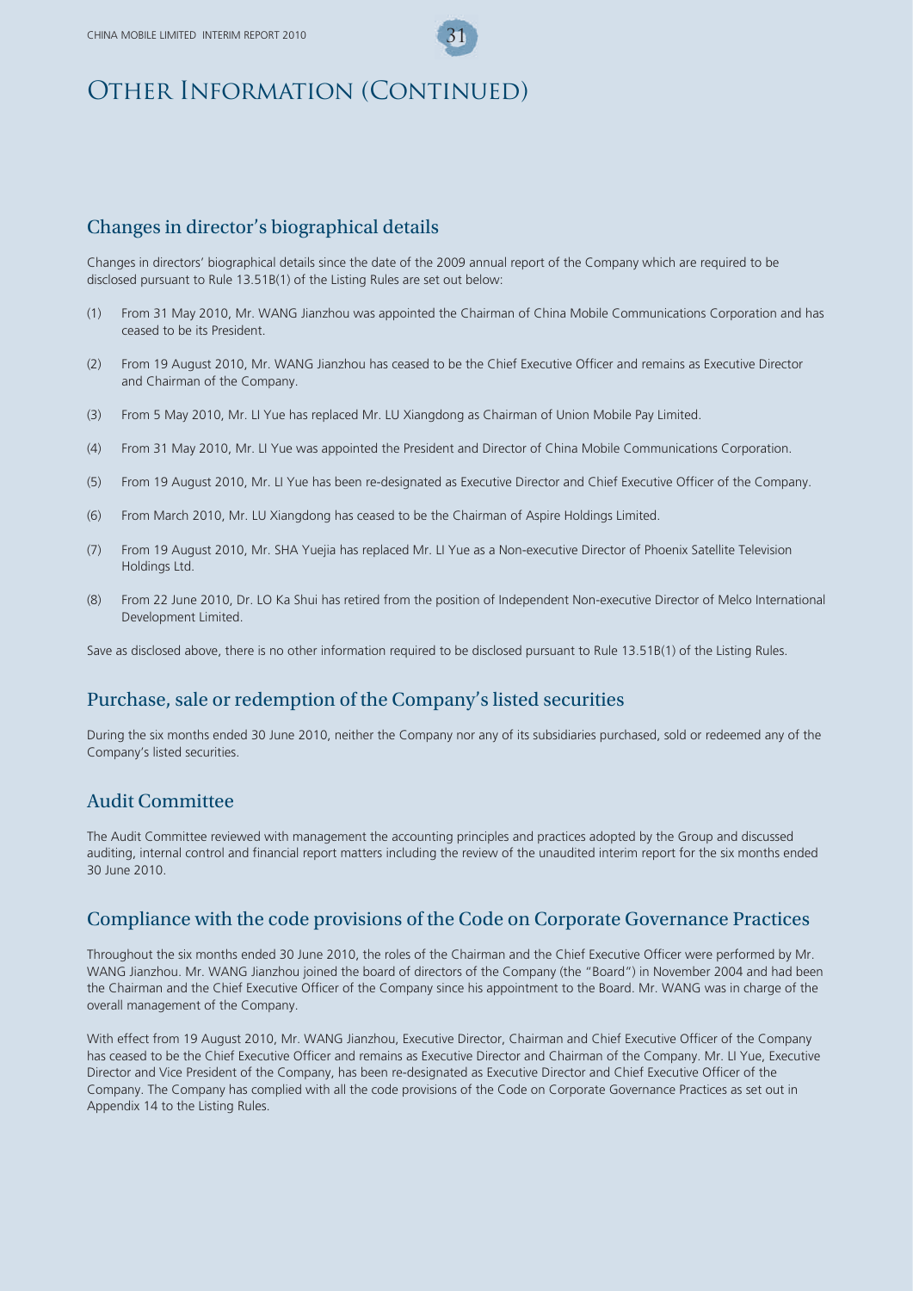## Changes in director's biographical details

Changes in directors' biographical details since the date of the 2009 annual report of the Company which are required to be disclosed pursuant to Rule 13.51B(1) of the Listing Rules are set out below:

- (1) From 31 May 2010, Mr. WANG Jianzhou was appointed the Chairman of China Mobile Communications Corporation and has ceased to be its President.
- (2) From 19 August 2010, Mr. WANG Jianzhou has ceased to be the Chief Executive Officer and remains as Executive Director and Chairman of the Company.
- (3) From 5 May 2010, Mr. LI Yue has replaced Mr. LU Xiangdong as Chairman of Union Mobile Pay Limited.
- (4) From 31 May 2010, Mr. LI Yue was appointed the President and Director of China Mobile Communications Corporation.
- (5) From 19 August 2010, Mr. LI Yue has been re-designated as Executive Director and Chief Executive Officer of the Company.
- (6) From March 2010, Mr. LU Xiangdong has ceased to be the Chairman of Aspire Holdings Limited.
- (7) From 19 August 2010, Mr. SHA Yuejia has replaced Mr. LI Yue as a Non-executive Director of Phoenix Satellite Television Holdings Ltd.
- (8) From 22 June 2010, Dr. LO Ka Shui has retired from the position of Independent Non-executive Director of Melco International Development Limited.

Save as disclosed above, there is no other information required to be disclosed pursuant to Rule 13.51B(1) of the Listing Rules.

### Purchase, sale or redemption of the Company's listed securities

During the six months ended 30 June 2010, neither the Company nor any of its subsidiaries purchased, sold or redeemed any of the Company's listed securities.

### Audit Committee

The Audit Committee reviewed with management the accounting principles and practices adopted by the Group and discussed auditing, internal control and financial report matters including the review of the unaudited interim report for the six months ended 30 June 2010.

### Compliance with the code provisions of the Code on Corporate Governance Practices

Throughout the six months ended 30 June 2010, the roles of the Chairman and the Chief Executive Officer were performed by Mr. WANG Jianzhou. Mr. WANG Jianzhou joined the board of directors of the Company (the "Board") in November 2004 and had been the Chairman and the Chief Executive Officer of the Company since his appointment to the Board. Mr. WANG was in charge of the overall management of the Company.

With effect from 19 August 2010, Mr. WANG Jianzhou, Executive Director, Chairman and Chief Executive Officer of the Company has ceased to be the Chief Executive Officer and remains as Executive Director and Chairman of the Company. Mr. LI Yue, Executive Director and Vice President of the Company, has been re-designated as Executive Director and Chief Executive Officer of the Company. The Company has complied with all the code provisions of the Code on Corporate Governance Practices as set out in Appendix 14 to the Listing Rules.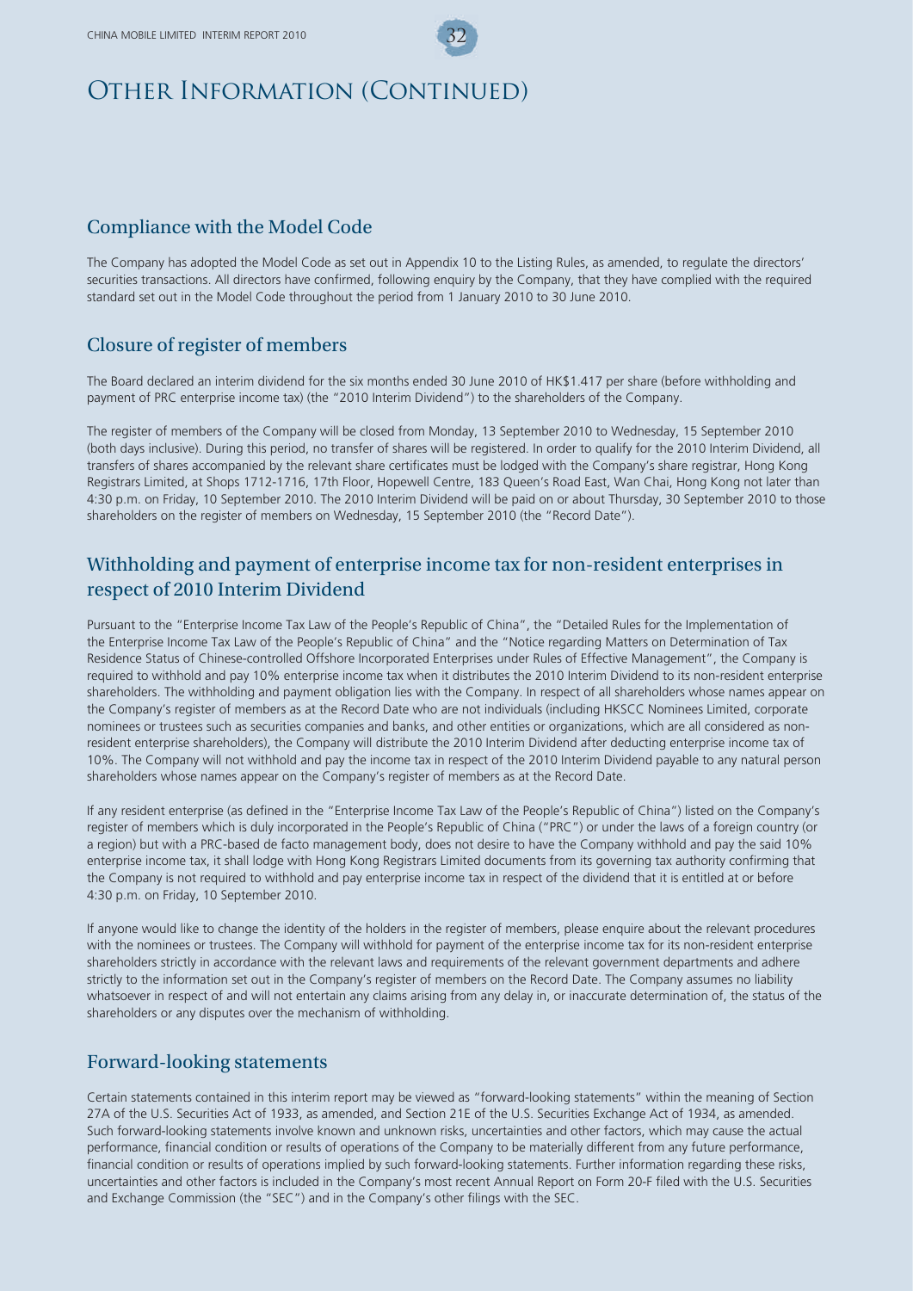## Compliance with the Model Code

The Company has adopted the Model Code as set out in Appendix 10 to the Listing Rules, as amended, to regulate the directors' securities transactions. All directors have confirmed, following enquiry by the Company, that they have complied with the required standard set out in the Model Code throughout the period from 1 January 2010 to 30 June 2010.

## Closure of register of members

The Board declared an interim dividend for the six months ended 30 June 2010 of HK\$1.417 per share (before withholding and payment of PRC enterprise income tax) (the "2010 Interim Dividend") to the shareholders of the Company.

The register of members of the Company will be closed from Monday, 13 September 2010 to Wednesday, 15 September 2010 (both days inclusive). During this period, no transfer of shares will be registered. In order to qualify for the 2010 Interim Dividend, all transfers of shares accompanied by the relevant share certificates must be lodged with the Company's share registrar, Hong Kong Registrars Limited, at Shops 1712-1716, 17th Floor, Hopewell Centre, 183 Queen's Road East, Wan Chai, Hong Kong not later than 4:30 p.m. on Friday, 10 September 2010. The 2010 Interim Dividend will be paid on or about Thursday, 30 September 2010 to those shareholders on the register of members on Wednesday, 15 September 2010 (the "Record Date").

## Withholding and payment of enterprise income tax for non-resident enterprises in respect of 2010 Interim Dividend

Pursuant to the "Enterprise Income Tax Law of the People's Republic of China", the "Detailed Rules for the Implementation of the Enterprise Income Tax Law of the People's Republic of China" and the "Notice regarding Matters on Determination of Tax Residence Status of Chinese-controlled Offshore Incorporated Enterprises under Rules of Effective Management", the Company is required to withhold and pay 10% enterprise income tax when it distributes the 2010 Interim Dividend to its non-resident enterprise shareholders. The withholding and payment obligation lies with the Company. In respect of all shareholders whose names appear on the Company's register of members as at the Record Date who are not individuals (including HKSCC Nominees Limited, corporate nominees or trustees such as securities companies and banks, and other entities or organizations, which are all considered as nonresident enterprise shareholders), the Company will distribute the 2010 Interim Dividend after deducting enterprise income tax of 10%. The Company will not withhold and pay the income tax in respect of the 2010 Interim Dividend payable to any natural person shareholders whose names appear on the Company's register of members as at the Record Date.

If any resident enterprise (as defined in the "Enterprise Income Tax Law of the People's Republic of China") listed on the Company's register of members which is duly incorporated in the People's Republic of China ("PRC") or under the laws of a foreign country (or a region) but with a PRC-based de facto management body, does not desire to have the Company withhold and pay the said 10% enterprise income tax, it shall lodge with Hong Kong Registrars Limited documents from its governing tax authority confirming that the Company is not required to withhold and pay enterprise income tax in respect of the dividend that it is entitled at or before 4:30 p.m. on Friday, 10 September 2010.

If anyone would like to change the identity of the holders in the register of members, please enquire about the relevant procedures with the nominees or trustees. The Company will withhold for payment of the enterprise income tax for its non-resident enterprise shareholders strictly in accordance with the relevant laws and requirements of the relevant government departments and adhere strictly to the information set out in the Company's register of members on the Record Date. The Company assumes no liability whatsoever in respect of and will not entertain any claims arising from any delay in, or inaccurate determination of, the status of the shareholders or any disputes over the mechanism of withholding.

### Forward-looking statements

Certain statements contained in this interim report may be viewed as "forward-looking statements" within the meaning of Section 27A of the U.S. Securities Act of 1933, as amended, and Section 21E of the U.S. Securities Exchange Act of 1934, as amended. Such forward-looking statements involve known and unknown risks, uncertainties and other factors, which may cause the actual performance, financial condition or results of operations of the Company to be materially different from any future performance, financial condition or results of operations implied by such forward-looking statements. Further information regarding these risks, uncertainties and other factors is included in the Company's most recent Annual Report on Form 20-F filed with the U.S. Securities and Exchange Commission (the "SEC") and in the Company's other filings with the SEC.